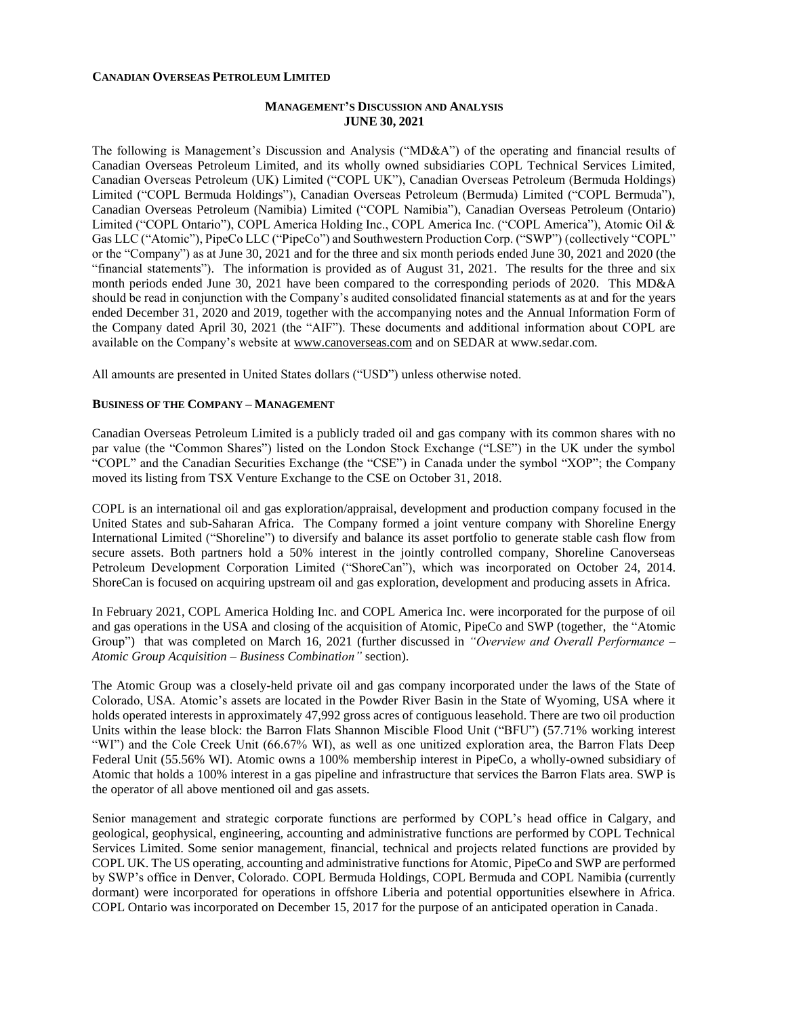#### **CANADIAN OVERSEAS PETROLEUM LIMITED**

### **MANAGEMENT'S DISCUSSION AND ANALYSIS JUNE 30, 2021**

The following is Management's Discussion and Analysis ("MD&A") of the operating and financial results of Canadian Overseas Petroleum Limited, and its wholly owned subsidiaries COPL Technical Services Limited, Canadian Overseas Petroleum (UK) Limited ("COPL UK"), Canadian Overseas Petroleum (Bermuda Holdings) Limited ("COPL Bermuda Holdings"), Canadian Overseas Petroleum (Bermuda) Limited ("COPL Bermuda"), Canadian Overseas Petroleum (Namibia) Limited ("COPL Namibia"), Canadian Overseas Petroleum (Ontario) Limited ("COPL Ontario"), COPL America Holding Inc., COPL America Inc. ("COPL America"), Atomic Oil & Gas LLC ("Atomic"), PipeCo LLC ("PipeCo") and Southwestern Production Corp. ("SWP") (collectively "COPL" or the "Company") as at June 30, 2021 and for the three and six month periods ended June 30, 2021 and 2020 (the "financial statements"). The information is provided as of August 31, 2021. The results for the three and six month periods ended June 30, 2021 have been compared to the corresponding periods of 2020. This MD&A should be read in conjunction with the Company's audited consolidated financial statements as at and for the years ended December 31, 2020 and 2019, together with the accompanying notes and the Annual Information Form of the Company dated April 30, 2021 (the "AIF"). These documents and additional information about COPL are available on the Company's website at [www.canoverseas.com](http://www.canoverseas.com/) [a](http://www.canoverseas.com/)nd on SEDAR at [www.sedar.com.](http://www.sedar.com/)

All amounts are presented in United States dollars ("USD") unless otherwise noted.

### **BUSINESS OF THE COMPANY – MANAGEMENT**

Canadian Overseas Petroleum Limited is a publicly traded oil and gas company with its common shares with no par value (the "Common Shares") listed on the London Stock Exchange ("LSE") in the UK under the symbol "COPL" and the Canadian Securities Exchange (the "CSE") in Canada under the symbol "XOP"; the Company moved its listing from TSX Venture Exchange to the CSE on October 31, 2018.

COPL is an international oil and gas exploration/appraisal, development and production company focused in the United States and sub-Saharan Africa. The Company formed a joint venture company with Shoreline Energy International Limited ("Shoreline") to diversify and balance its asset portfolio to generate stable cash flow from secure assets. Both partners hold a 50% interest in the jointly controlled company, Shoreline Canoverseas Petroleum Development Corporation Limited ("ShoreCan"), which was incorporated on October 24, 2014. ShoreCan is focused on acquiring upstream oil and gas exploration, development and producing assets in Africa.

In February 2021, COPL America Holding Inc. and COPL America Inc. were incorporated for the purpose of oil and gas operations in the USA and closing of the acquisition of Atomic, PipeCo and SWP (together, the "Atomic Group") that was completed on March 16, 2021 (further discussed in *"Overview and Overall Performance – Atomic Group Acquisition – Business Combination"* section).

The Atomic Group was a closely-held private oil and gas company incorporated under the laws of the State of Colorado, USA. Atomic's assets are located in the Powder River Basin in the State of Wyoming, USA where it holds operated interests in approximately 47,992 gross acres of contiguous leasehold. There are two oil production Units within the lease block: the Barron Flats Shannon Miscible Flood Unit ("BFU") (57.71% working interest "WI") and the Cole Creek Unit (66.67% WI), as well as one unitized exploration area, the Barron Flats Deep Federal Unit (55.56% WI). Atomic owns a 100% membership interest in PipeCo, a wholly-owned subsidiary of Atomic that holds a 100% interest in a gas pipeline and infrastructure that services the Barron Flats area. SWP is the operator of all above mentioned oil and gas assets.

Senior management and strategic corporate functions are performed by COPL's head office in Calgary, and geological, geophysical, engineering, accounting and administrative functions are performed by COPL Technical Services Limited. Some senior management, financial, technical and projects related functions are provided by COPL UK. The US operating, accounting and administrative functions for Atomic, PipeCo and SWP are performed by SWP's office in Denver, Colorado. COPL Bermuda Holdings, COPL Bermuda and COPL Namibia (currently dormant) were incorporated for operations in offshore Liberia and potential opportunities elsewhere in Africa. COPL Ontario was incorporated on December 15, 2017 for the purpose of an anticipated operation in Canada.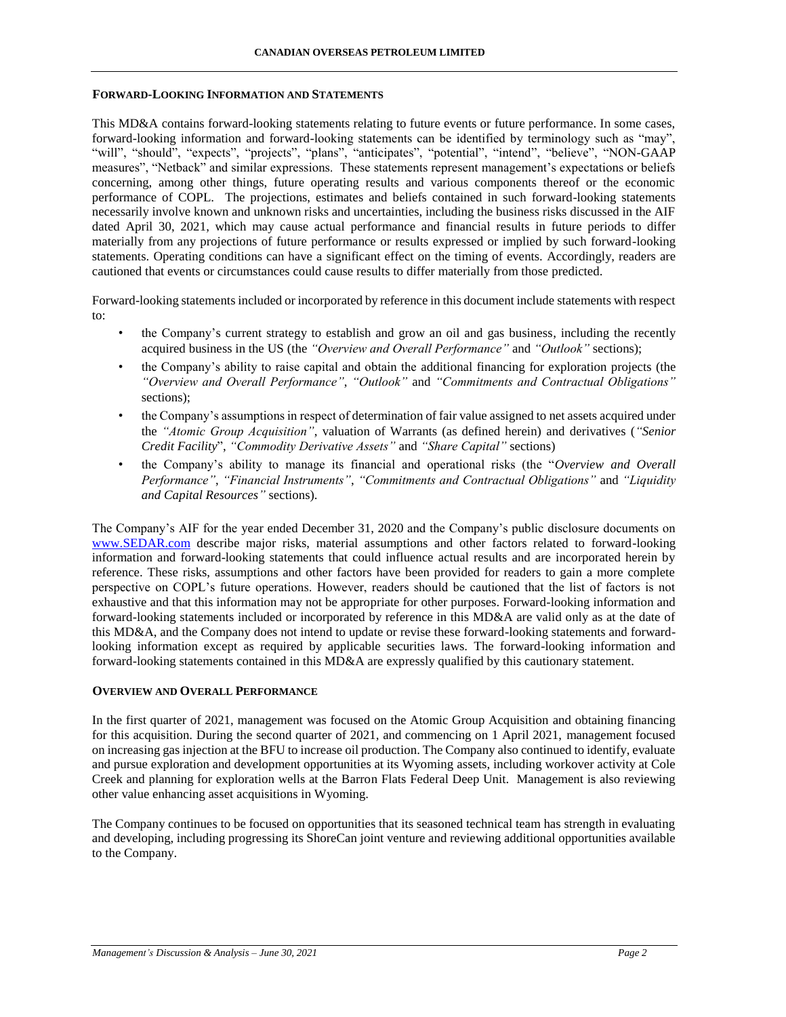### **FORWARD-LOOKING INFORMATION AND STATEMENTS**

This MD&A contains forward-looking statements relating to future events or future performance. In some cases, forward-looking information and forward-looking statements can be identified by terminology such as "may", "will", "should", "expects", "projects", "plans", "anticipates", "potential", "intend", "believe", "NON-GAAP measures", "Netback" and similar expressions. These statements represent management's expectations or beliefs concerning, among other things, future operating results and various components thereof or the economic performance of COPL. The projections, estimates and beliefs contained in such forward-looking statements necessarily involve known and unknown risks and uncertainties, including the business risks discussed in the AIF dated April 30, 2021, which may cause actual performance and financial results in future periods to differ materially from any projections of future performance or results expressed or implied by such forward-looking statements. Operating conditions can have a significant effect on the timing of events. Accordingly, readers are cautioned that events or circumstances could cause results to differ materially from those predicted.

Forward-looking statements included or incorporated by reference in this document include statements with respect to:

- the Company's current strategy to establish and grow an oil and gas business, including the recently acquired business in the US (the *"Overview and Overall Performance"* and *"Outlook"* sections);
- the Company's ability to raise capital and obtain the additional financing for exploration projects (the *"Overview and Overall Performance"*, *"Outlook"* and *"Commitments and Contractual Obligations"* sections);
- the Company's assumptions in respect of determination of fair value assigned to net assets acquired under the *"Atomic Group Acquisition"*, valuation of Warrants (as defined herein) and derivatives (*"Senior Credit Facility*", *"Commodity Derivative Assets"* and *"Share Capital"* sections)
- the Company's ability to manage its financial and operational risks (the "*Overview and Overall Performance"*, *"Financial Instruments"*, *"Commitments and Contractual Obligations"* and *"Liquidity and Capital Resources"* sections).

The Company's AIF for the year ended December 31, 2020 and the Company's public disclosure documents on [www.SEDAR.com](http://www.sedar.com/) describe major risks, material assumptions and other factors related to forward-looking information and forward-looking statements that could influence actual results and are incorporated herein by reference. These risks, assumptions and other factors have been provided for readers to gain a more complete perspective on COPL's future operations. However, readers should be cautioned that the list of factors is not exhaustive and that this information may not be appropriate for other purposes. Forward-looking information and forward-looking statements included or incorporated by reference in this MD&A are valid only as at the date of this MD&A, and the Company does not intend to update or revise these forward-looking statements and forwardlooking information except as required by applicable securities laws. The forward-looking information and forward-looking statements contained in this MD&A are expressly qualified by this cautionary statement.

### **OVERVIEW AND OVERALL PERFORMANCE**

In the first quarter of 2021, management was focused on the Atomic Group Acquisition and obtaining financing for this acquisition. During the second quarter of 2021, and commencing on 1 April 2021, management focused on increasing gas injection at the BFU to increase oil production. The Company also continued to identify, evaluate and pursue exploration and development opportunities at its Wyoming assets, including workover activity at Cole Creek and planning for exploration wells at the Barron Flats Federal Deep Unit. Management is also reviewing other value enhancing asset acquisitions in Wyoming.

The Company continues to be focused on opportunities that its seasoned technical team has strength in evaluating and developing, including progressing its ShoreCan joint venture and reviewing additional opportunities available to the Company.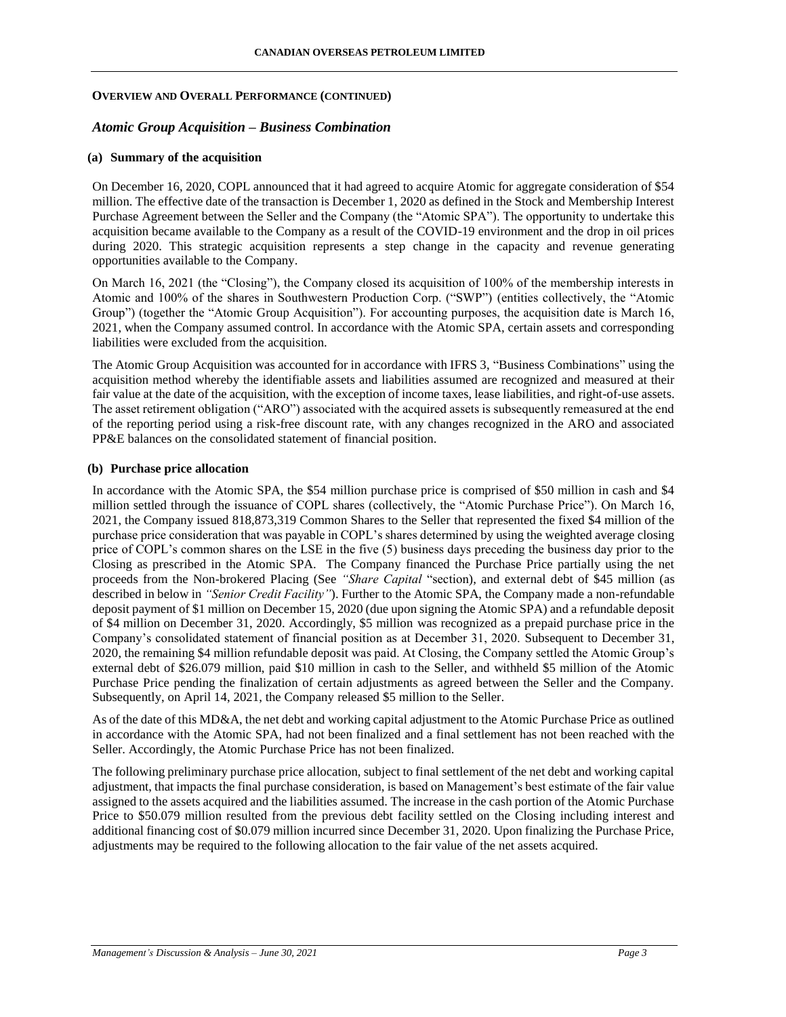#### *Atomic Group Acquisition – Business Combination*

#### **(a) Summary of the acquisition**

On December 16, 2020, COPL announced that it had agreed to acquire Atomic for aggregate consideration of \$54 million. The effective date of the transaction is December 1, 2020 as defined in the Stock and Membership Interest Purchase Agreement between the Seller and the Company (the "Atomic SPA"). The opportunity to undertake this acquisition became available to the Company as a result of the COVID-19 environment and the drop in oil prices during 2020. This strategic acquisition represents a step change in the capacity and revenue generating opportunities available to the Company.

On March 16, 2021 (the "Closing"), the Company closed its acquisition of 100% of the membership interests in Atomic and 100% of the shares in Southwestern Production Corp. ("SWP") (entities collectively, the "Atomic Group") (together the "Atomic Group Acquisition"). For accounting purposes, the acquisition date is March 16, 2021, when the Company assumed control. In accordance with the Atomic SPA, certain assets and corresponding liabilities were excluded from the acquisition.

The Atomic Group Acquisition was accounted for in accordance with IFRS 3, "Business Combinations" using the acquisition method whereby the identifiable assets and liabilities assumed are recognized and measured at their fair value at the date of the acquisition, with the exception of income taxes, lease liabilities, and right-of-use assets. The asset retirement obligation ("ARO") associated with the acquired assets is subsequently remeasured at the end of the reporting period using a risk-free discount rate, with any changes recognized in the ARO and associated PP&E balances on the consolidated statement of financial position.

#### **(b) Purchase price allocation**

In accordance with the Atomic SPA, the \$54 million purchase price is comprised of \$50 million in cash and \$4 million settled through the issuance of COPL shares (collectively, the "Atomic Purchase Price"). On March 16, 2021, the Company issued 818,873,319 Common Shares to the Seller that represented the fixed \$4 million of the purchase price consideration that was payable in COPL's shares determined by using the weighted average closing price of COPL's common shares on the LSE in the five (5) business days preceding the business day prior to the Closing as prescribed in the Atomic SPA. The Company financed the Purchase Price partially using the net proceeds from the Non-brokered Placing (See *"Share Capital* "section), and external debt of \$45 million (as described in below in *"Senior Credit Facility"*). Further to the Atomic SPA, the Company made a non-refundable deposit payment of \$1 million on December 15, 2020 (due upon signing the Atomic SPA) and a refundable deposit of \$4 million on December 31, 2020. Accordingly, \$5 million was recognized as a prepaid purchase price in the Company's consolidated statement of financial position as at December 31, 2020. Subsequent to December 31, 2020, the remaining \$4 million refundable deposit was paid. At Closing, the Company settled the Atomic Group's external debt of \$26.079 million, paid \$10 million in cash to the Seller, and withheld \$5 million of the Atomic Purchase Price pending the finalization of certain adjustments as agreed between the Seller and the Company. Subsequently, on April 14, 2021, the Company released \$5 million to the Seller.

As of the date of this MD&A, the net debt and working capital adjustment to the Atomic Purchase Price as outlined in accordance with the Atomic SPA, had not been finalized and a final settlement has not been reached with the Seller. Accordingly, the Atomic Purchase Price has not been finalized.

The following preliminary purchase price allocation, subject to final settlement of the net debt and working capital adjustment, that impacts the final purchase consideration, is based on Management's best estimate of the fair value assigned to the assets acquired and the liabilities assumed. The increase in the cash portion of the Atomic Purchase Price to \$50.079 million resulted from the previous debt facility settled on the Closing including interest and additional financing cost of \$0.079 million incurred since December 31, 2020. Upon finalizing the Purchase Price, adjustments may be required to the following allocation to the fair value of the net assets acquired.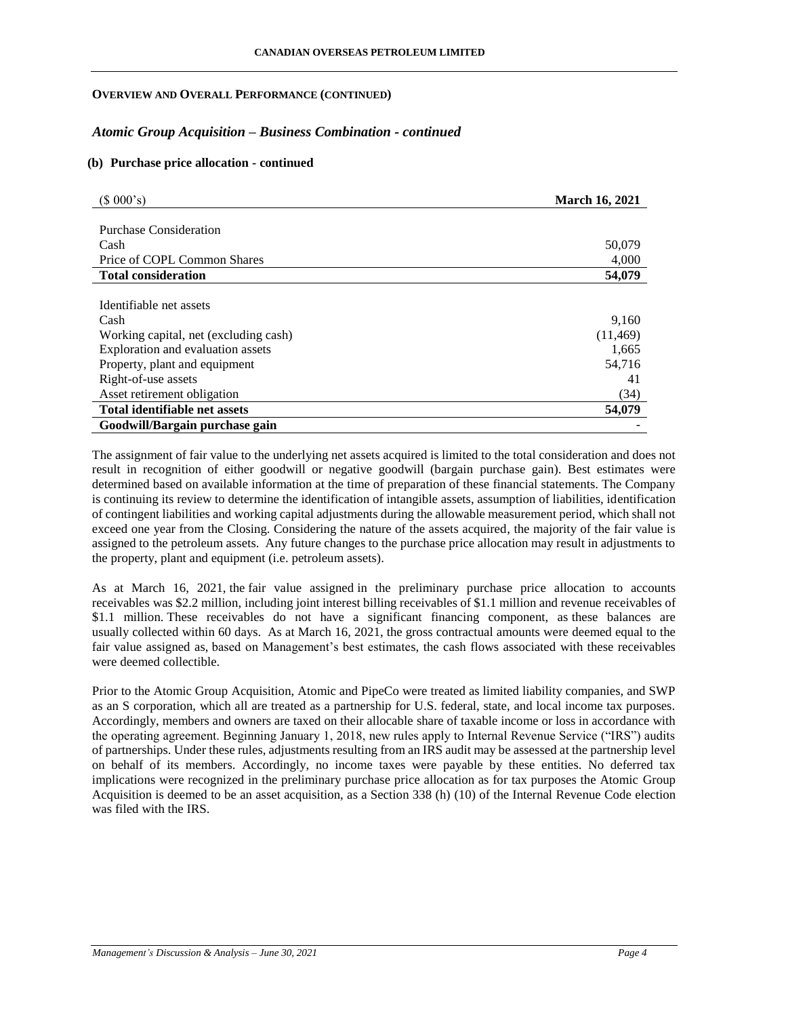### *Atomic Group Acquisition – Business Combination - continued*

#### **(b) Purchase price allocation - continued**

| (\$000's)                             | <b>March 16, 2021</b> |
|---------------------------------------|-----------------------|
|                                       |                       |
| Purchase Consideration                |                       |
| Cash                                  | 50,079                |
| Price of COPL Common Shares           | 4,000                 |
| <b>Total consideration</b>            | 54,079                |
|                                       |                       |
| Identifiable net assets               |                       |
| Cash                                  | 9,160                 |
| Working capital, net (excluding cash) | (11, 469)             |
| Exploration and evaluation assets     | 1,665                 |
| Property, plant and equipment         | 54,716                |
| Right-of-use assets                   | 41                    |
| Asset retirement obligation           | (34)                  |
| Total identifiable net assets         | 54,079                |
| Goodwill/Bargain purchase gain        |                       |

The assignment of fair value to the underlying net assets acquired is limited to the total consideration and does not result in recognition of either goodwill or negative goodwill (bargain purchase gain). Best estimates were determined based on available information at the time of preparation of these financial statements. The Company is continuing its review to determine the identification of intangible assets, assumption of liabilities, identification of contingent liabilities and working capital adjustments during the allowable measurement period, which shall not exceed one year from the Closing. Considering the nature of the assets acquired, the majority of the fair value is assigned to the petroleum assets. Any future changes to the purchase price allocation may result in adjustments to the property, plant and equipment (i.e. petroleum assets).

As at March 16, 2021, the fair value assigned in the preliminary purchase price allocation to accounts receivables was \$2.2 million, including joint interest billing receivables of \$1.1 million and revenue receivables of \$1.1 million. These receivables do not have a significant financing component, as these balances are usually collected within 60 days. As at March 16, 2021, the gross contractual amounts were deemed equal to the fair value assigned as, based on Management's best estimates, the cash flows associated with these receivables were deemed collectible.

Prior to the Atomic Group Acquisition, Atomic and PipeCo were treated as limited liability companies, and SWP as an S corporation, which all are treated as a partnership for U.S. federal, state, and local income tax purposes. Accordingly, members and owners are taxed on their allocable share of taxable income or loss in accordance with the operating agreement. Beginning January 1, 2018, new rules apply to Internal Revenue Service ("IRS") audits of partnerships. Under these rules, adjustments resulting from an IRS audit may be assessed at the partnership level on behalf of its members. Accordingly, no income taxes were payable by these entities. No deferred tax implications were recognized in the preliminary purchase price allocation as for tax purposes the Atomic Group Acquisition is deemed to be an asset acquisition, as a Section 338 (h) (10) of the Internal Revenue Code election was filed with the IRS.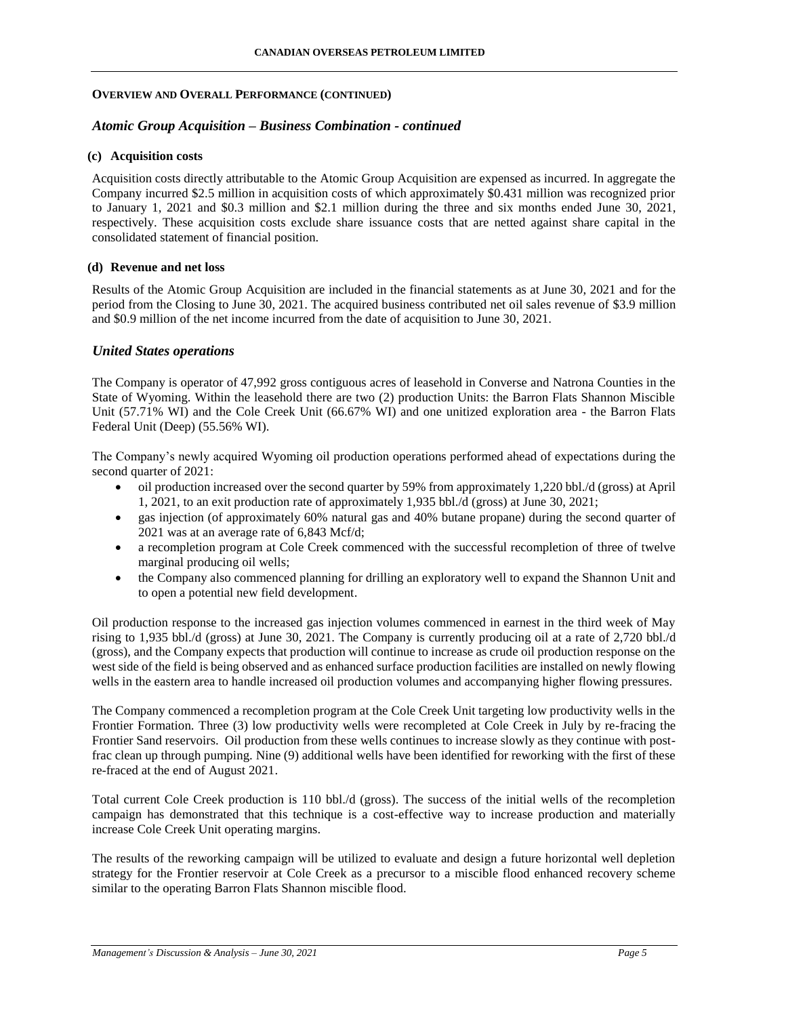### *Atomic Group Acquisition – Business Combination - continued*

# **(c) Acquisition costs**

Acquisition costs directly attributable to the Atomic Group Acquisition are expensed as incurred. In aggregate the Company incurred \$2.5 million in acquisition costs of which approximately \$0.431 million was recognized prior to January 1, 2021 and \$0.3 million and \$2.1 million during the three and six months ended June 30, 2021, respectively. These acquisition costs exclude share issuance costs that are netted against share capital in the consolidated statement of financial position.

### **(d) Revenue and net loss**

Results of the Atomic Group Acquisition are included in the financial statements as at June 30, 2021 and for the period from the Closing to June 30, 2021. The acquired business contributed net oil sales revenue of \$3.9 million and \$0.9 million of the net income incurred from the date of acquisition to June 30, 2021.

### *United States operations*

The Company is operator of 47,992 gross contiguous acres of leasehold in Converse and Natrona Counties in the State of Wyoming. Within the leasehold there are two (2) production Units: the Barron Flats Shannon Miscible Unit (57.71% WI) and the Cole Creek Unit (66.67% WI) and one unitized exploration area - the Barron Flats Federal Unit (Deep) (55.56% WI).

The Company's newly acquired Wyoming oil production operations performed ahead of expectations during the second quarter of 2021:

- oil production increased over the second quarter by 59% from approximately 1,220 bbl./d (gross) at April 1, 2021, to an exit production rate of approximately 1,935 bbl./d (gross) at June 30, 2021;
- gas injection (of approximately 60% natural gas and 40% butane propane) during the second quarter of 2021 was at an average rate of 6,843 Mcf/d;
- a recompletion program at Cole Creek commenced with the successful recompletion of three of twelve marginal producing oil wells;
- the Company also commenced planning for drilling an exploratory well to expand the Shannon Unit and to open a potential new field development.

Oil production response to the increased gas injection volumes commenced in earnest in the third week of May rising to 1,935 bbl./d (gross) at June 30, 2021. The Company is currently producing oil at a rate of 2,720 bbl./d (gross), and the Company expects that production will continue to increase as crude oil production response on the west side of the field is being observed and as enhanced surface production facilities are installed on newly flowing wells in the eastern area to handle increased oil production volumes and accompanying higher flowing pressures.

The Company commenced a recompletion program at the Cole Creek Unit targeting low productivity wells in the Frontier Formation. Three (3) low productivity wells were recompleted at Cole Creek in July by re-fracing the Frontier Sand reservoirs. Oil production from these wells continues to increase slowly as they continue with postfrac clean up through pumping. Nine (9) additional wells have been identified for reworking with the first of these re-fraced at the end of August 2021.

Total current Cole Creek production is 110 bbl./d (gross). The success of the initial wells of the recompletion campaign has demonstrated that this technique is a cost-effective way to increase production and materially increase Cole Creek Unit operating margins.

The results of the reworking campaign will be utilized to evaluate and design a future horizontal well depletion strategy for the Frontier reservoir at Cole Creek as a precursor to a miscible flood enhanced recovery scheme similar to the operating Barron Flats Shannon miscible flood.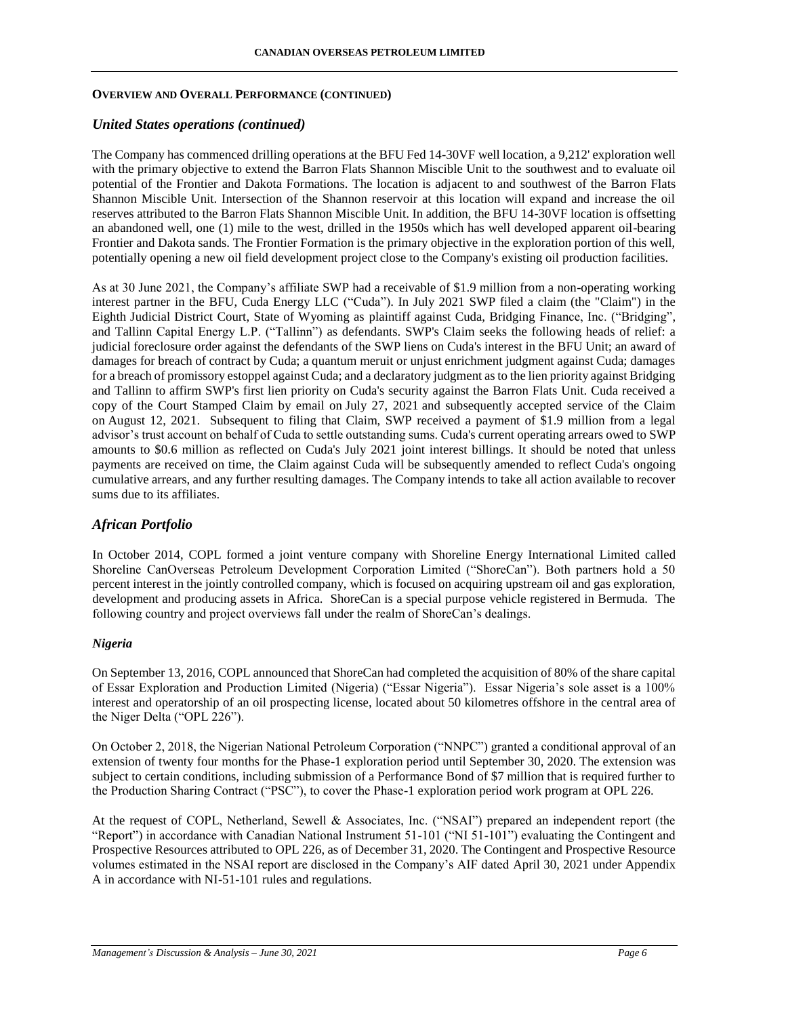### *United States operations (continued)*

The Company has commenced drilling operations at the BFU Fed 14-30VF well location, a 9,212' exploration well with the primary objective to extend the Barron Flats Shannon Miscible Unit to the southwest and to evaluate oil potential of the Frontier and Dakota Formations. The location is adjacent to and southwest of the Barron Flats Shannon Miscible Unit. Intersection of the Shannon reservoir at this location will expand and increase the oil reserves attributed to the Barron Flats Shannon Miscible Unit. In addition, the BFU 14-30VF location is offsetting an abandoned well, one (1) mile to the west, drilled in the 1950s which has well developed apparent oil-bearing Frontier and Dakota sands. The Frontier Formation is the primary objective in the exploration portion of this well, potentially opening a new oil field development project close to the Company's existing oil production facilities.

As at 30 June 2021, the Company's affiliate SWP had a receivable of \$1.9 million from a non-operating working interest partner in the BFU, Cuda Energy LLC ("Cuda"). In July 2021 SWP filed a claim (the "Claim") in the Eighth Judicial District Court, State of Wyoming as plaintiff against Cuda, Bridging Finance, Inc. ("Bridging", and Tallinn Capital Energy L.P. ("Tallinn") as defendants. SWP's Claim seeks the following heads of relief: a judicial foreclosure order against the defendants of the SWP liens on Cuda's interest in the BFU Unit; an award of damages for breach of contract by Cuda; a quantum meruit or unjust enrichment judgment against Cuda; damages for a breach of promissory estoppel against Cuda; and a declaratory judgment as to the lien priority against Bridging and Tallinn to affirm SWP's first lien priority on Cuda's security against the Barron Flats Unit. Cuda received a copy of the Court Stamped Claim by email on July 27, 2021 and subsequently accepted service of the Claim on August 12, 2021. Subsequent to filing that Claim, SWP received a payment of \$1.9 million from a legal advisor's trust account on behalf of Cuda to settle outstanding sums. Cuda's current operating arrears owed to SWP amounts to \$0.6 million as reflected on Cuda's July 2021 joint interest billings. It should be noted that unless payments are received on time, the Claim against Cuda will be subsequently amended to reflect Cuda's ongoing cumulative arrears, and any further resulting damages. The Company intends to take all action available to recover sums due to its affiliates.

# *African Portfolio*

In October 2014, COPL formed a joint venture company with Shoreline Energy International Limited called Shoreline CanOverseas Petroleum Development Corporation Limited ("ShoreCan"). Both partners hold a 50 percent interest in the jointly controlled company, which is focused on acquiring upstream oil and gas exploration, development and producing assets in Africa. ShoreCan is a special purpose vehicle registered in Bermuda. The following country and project overviews fall under the realm of ShoreCan's dealings.

### *Nigeria*

On September 13, 2016, COPL announced that ShoreCan had completed the acquisition of 80% of the share capital of Essar Exploration and Production Limited (Nigeria) ("Essar Nigeria"). Essar Nigeria's sole asset is a 100% interest and operatorship of an oil prospecting license, located about 50 kilometres offshore in the central area of the Niger Delta ("OPL 226").

On October 2, 2018, the Nigerian National Petroleum Corporation ("NNPC") granted a conditional approval of an extension of twenty four months for the Phase-1 exploration period until September 30, 2020. The extension was subject to certain conditions, including submission of a Performance Bond of \$7 million that is required further to the Production Sharing Contract ("PSC"), to cover the Phase-1 exploration period work program at OPL 226.

At the request of COPL, Netherland, Sewell & Associates, Inc. ("NSAI") prepared an independent report (the "Report") in accordance with Canadian National Instrument 51-101 ("NI 51-101") evaluating the Contingent and Prospective Resources attributed to OPL 226, as of December 31, 2020. The Contingent and Prospective Resource volumes estimated in the NSAI report are disclosed in the Company's AIF dated April 30, 2021 under Appendix A in accordance with NI-51-101 rules and regulations.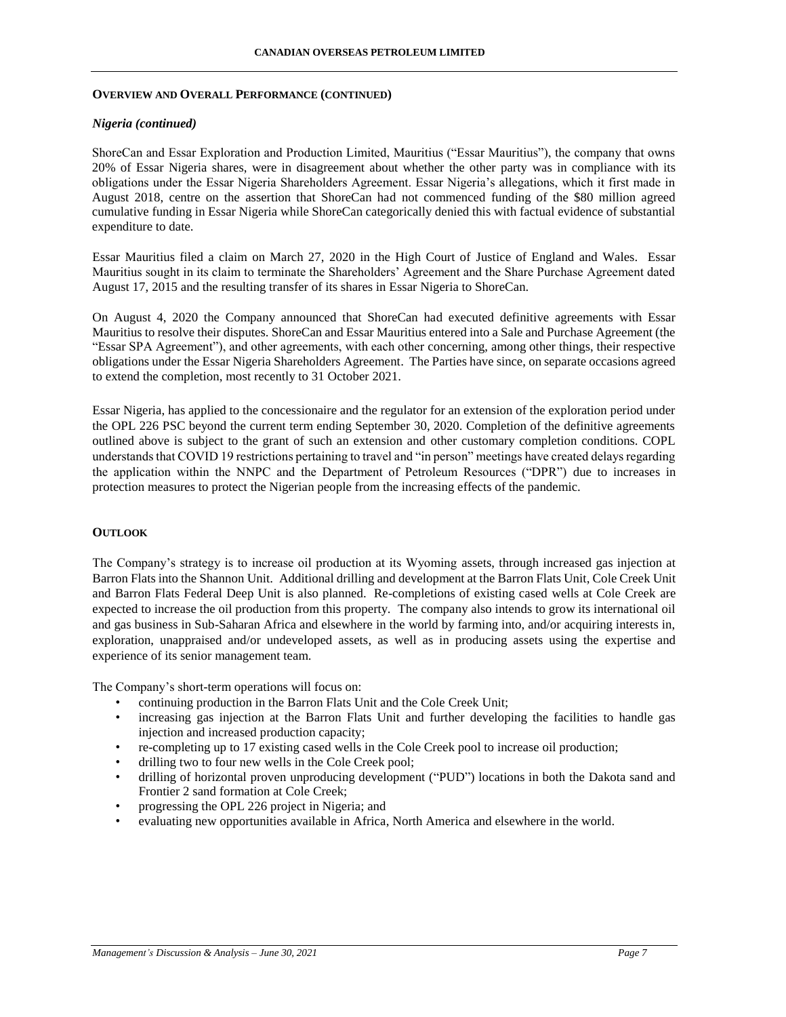#### *Nigeria (continued)*

ShoreCan and Essar Exploration and Production Limited, Mauritius ("Essar Mauritius"), the company that owns 20% of Essar Nigeria shares, were in disagreement about whether the other party was in compliance with its obligations under the Essar Nigeria Shareholders Agreement. Essar Nigeria's allegations, which it first made in August 2018, centre on the assertion that ShoreCan had not commenced funding of the \$80 million agreed cumulative funding in Essar Nigeria while ShoreCan categorically denied this with factual evidence of substantial expenditure to date.

Essar Mauritius filed a claim on March 27, 2020 in the High Court of Justice of England and Wales. Essar Mauritius sought in its claim to terminate the Shareholders' Agreement and the Share Purchase Agreement dated August 17, 2015 and the resulting transfer of its shares in Essar Nigeria to ShoreCan.

On August 4, 2020 the Company announced that ShoreCan had executed definitive agreements with Essar Mauritius to resolve their disputes. ShoreCan and Essar Mauritius entered into a Sale and Purchase Agreement (the "Essar SPA Agreement"), and other agreements, with each other concerning, among other things, their respective obligations under the Essar Nigeria Shareholders Agreement. The Parties have since, on separate occasions agreed to extend the completion, most recently to 31 October 2021.

Essar Nigeria, has applied to the concessionaire and the regulator for an extension of the exploration period under the OPL 226 PSC beyond the current term ending September 30, 2020. Completion of the definitive agreements outlined above is subject to the grant of such an extension and other customary completion conditions. COPL understands that COVID 19 restrictions pertaining to travel and "in person" meetings have created delays regarding the application within the NNPC and the Department of Petroleum Resources ("DPR") due to increases in protection measures to protect the Nigerian people from the increasing effects of the pandemic.

### **OUTLOOK**

The Company's strategy is to increase oil production at its Wyoming assets, through increased gas injection at Barron Flats into the Shannon Unit. Additional drilling and development at the Barron Flats Unit, Cole Creek Unit and Barron Flats Federal Deep Unit is also planned. Re-completions of existing cased wells at Cole Creek are expected to increase the oil production from this property. The company also intends to grow its international oil and gas business in Sub-Saharan Africa and elsewhere in the world by farming into, and/or acquiring interests in, exploration, unappraised and/or undeveloped assets, as well as in producing assets using the expertise and experience of its senior management team.

The Company's short-term operations will focus on:

- continuing production in the Barron Flats Unit and the Cole Creek Unit;
- increasing gas injection at the Barron Flats Unit and further developing the facilities to handle gas injection and increased production capacity;
- re-completing up to 17 existing cased wells in the Cole Creek pool to increase oil production;
- drilling two to four new wells in the Cole Creek pool;
- drilling of horizontal proven unproducing development ("PUD") locations in both the Dakota sand and Frontier 2 sand formation at Cole Creek;
- progressing the OPL 226 project in Nigeria; and
- evaluating new opportunities available in Africa, North America and elsewhere in the world.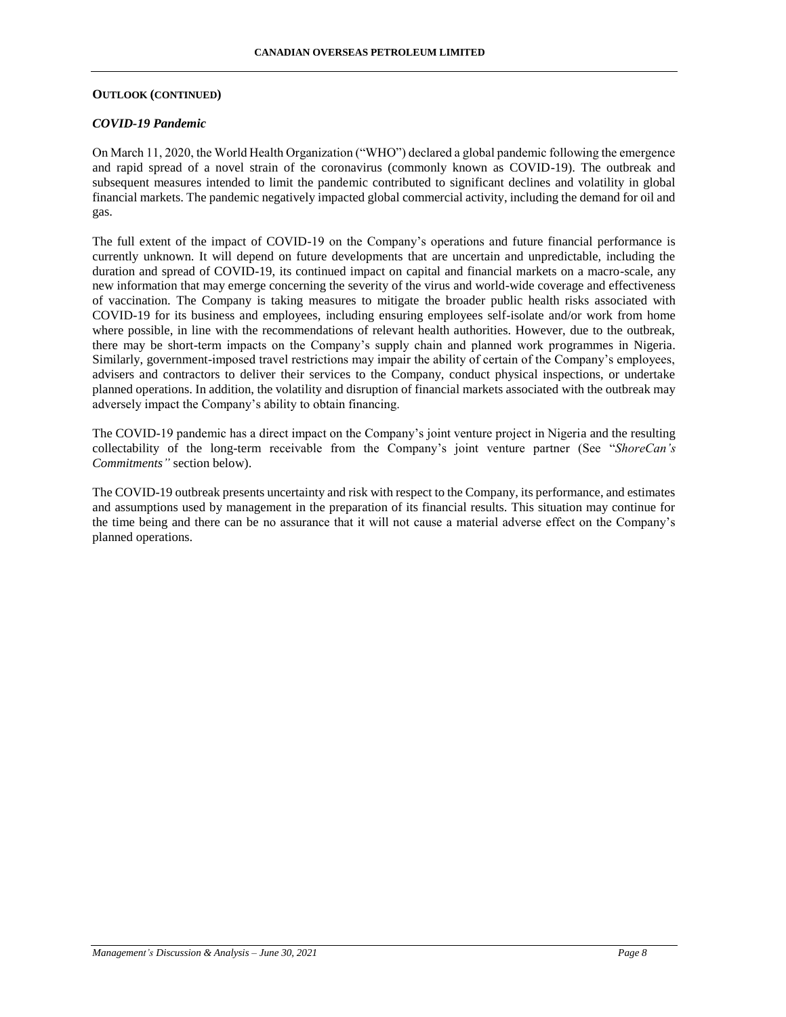### **OUTLOOK (CONTINUED)**

### *COVID-19 Pandemic*

On March 11, 2020, the World Health Organization ("WHO") declared a global pandemic following the emergence and rapid spread of a novel strain of the coronavirus (commonly known as COVID-19). The outbreak and subsequent measures intended to limit the pandemic contributed to significant declines and volatility in global financial markets. The pandemic negatively impacted global commercial activity, including the demand for oil and gas.

The full extent of the impact of COVID-19 on the Company's operations and future financial performance is currently unknown. It will depend on future developments that are uncertain and unpredictable, including the duration and spread of COVID-19, its continued impact on capital and financial markets on a macro-scale, any new information that may emerge concerning the severity of the virus and world-wide coverage and effectiveness of vaccination. The Company is taking measures to mitigate the broader public health risks associated with COVID-19 for its business and employees, including ensuring employees self-isolate and/or work from home where possible, in line with the recommendations of relevant health authorities. However, due to the outbreak, there may be short-term impacts on the Company's supply chain and planned work programmes in Nigeria. Similarly, government-imposed travel restrictions may impair the ability of certain of the Company's employees, advisers and contractors to deliver their services to the Company, conduct physical inspections, or undertake planned operations. In addition, the volatility and disruption of financial markets associated with the outbreak may adversely impact the Company's ability to obtain financing.

The COVID-19 pandemic has a direct impact on the Company's joint venture project in Nigeria and the resulting collectability of the long-term receivable from the Company's joint venture partner (See "*ShoreCan's Commitments"* section below).

The COVID-19 outbreak presents uncertainty and risk with respect to the Company, its performance, and estimates and assumptions used by management in the preparation of its financial results. This situation may continue for the time being and there can be no assurance that it will not cause a material adverse effect on the Company's planned operations.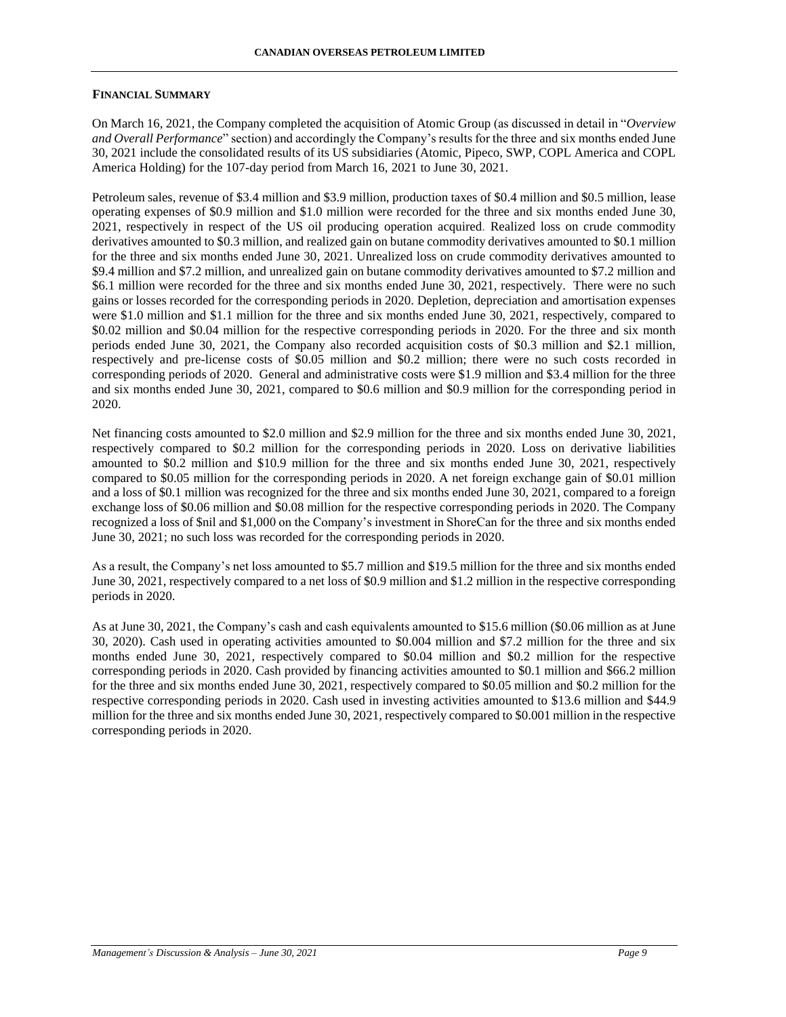### **FINANCIAL SUMMARY**

On March 16, 2021, the Company completed the acquisition of Atomic Group (as discussed in detail in "*Overview and Overall Performance*" section) and accordingly the Company's results for the three and six months ended June 30, 2021 include the consolidated results of its US subsidiaries (Atomic, Pipeco, SWP, COPL America and COPL America Holding) for the 107-day period from March 16, 2021 to June 30, 2021.

Petroleum sales, revenue of \$3.4 million and \$3.9 million, production taxes of \$0.4 million and \$0.5 million, lease operating expenses of \$0.9 million and \$1.0 million were recorded for the three and six months ended June 30, 2021, respectively in respect of the US oil producing operation acquired. Realized loss on crude commodity derivatives amounted to \$0.3 million, and realized gain on butane commodity derivatives amounted to \$0.1 million for the three and six months ended June 30, 2021. Unrealized loss on crude commodity derivatives amounted to \$9.4 million and \$7.2 million, and unrealized gain on butane commodity derivatives amounted to \$7.2 million and \$6.1 million were recorded for the three and six months ended June 30, 2021, respectively. There were no such gains or losses recorded for the corresponding periods in 2020. Depletion, depreciation and amortisation expenses were \$1.0 million and \$1.1 million for the three and six months ended June 30, 2021, respectively, compared to \$0.02 million and \$0.04 million for the respective corresponding periods in 2020. For the three and six month periods ended June 30, 2021, the Company also recorded acquisition costs of \$0.3 million and \$2.1 million, respectively and pre-license costs of \$0.05 million and \$0.2 million; there were no such costs recorded in corresponding periods of 2020. General and administrative costs were \$1.9 million and \$3.4 million for the three and six months ended June 30, 2021, compared to \$0.6 million and \$0.9 million for the corresponding period in 2020.

Net financing costs amounted to \$2.0 million and \$2.9 million for the three and six months ended June 30, 2021, respectively compared to \$0.2 million for the corresponding periods in 2020. Loss on derivative liabilities amounted to \$0.2 million and \$10.9 million for the three and six months ended June 30, 2021, respectively compared to \$0.05 million for the corresponding periods in 2020. A net foreign exchange gain of \$0.01 million and a loss of \$0.1 million was recognized for the three and six months ended June 30, 2021, compared to a foreign exchange loss of \$0.06 million and \$0.08 million for the respective corresponding periods in 2020. The Company recognized a loss of \$nil and \$1,000 on the Company's investment in ShoreCan for the three and six months ended June 30, 2021; no such loss was recorded for the corresponding periods in 2020.

As a result, the Company's net loss amounted to \$5.7 million and \$19.5 million for the three and six months ended June 30, 2021, respectively compared to a net loss of \$0.9 million and \$1.2 million in the respective corresponding periods in 2020.

As at June 30, 2021, the Company's cash and cash equivalents amounted to \$15.6 million (\$0.06 million as at June 30, 2020). Cash used in operating activities amounted to \$0.004 million and \$7.2 million for the three and six months ended June 30, 2021, respectively compared to \$0.04 million and \$0.2 million for the respective corresponding periods in 2020. Cash provided by financing activities amounted to \$0.1 million and \$66.2 million for the three and six months ended June 30, 2021, respectively compared to \$0.05 million and \$0.2 million for the respective corresponding periods in 2020. Cash used in investing activities amounted to \$13.6 million and \$44.9 million for the three and six months ended June 30, 2021, respectively compared to \$0.001 million in the respective corresponding periods in 2020.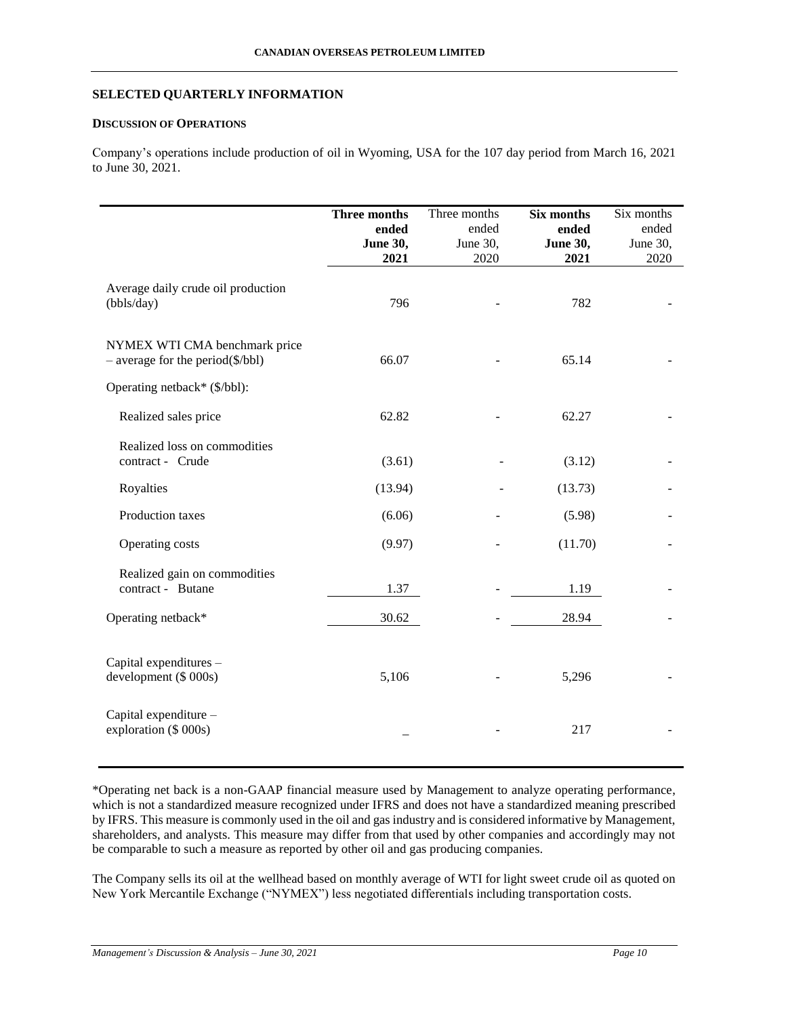### **SELECTED QUARTERLY INFORMATION**

### **DISCUSSION OF OPERATIONS**

Company's operations include production of oil in Wyoming, USA for the 107 day period from March 16, 2021 to June 30, 2021.

|                                                                             | Three months<br>ended<br><b>June 30,</b><br>2021 | Three months<br>ended<br>June 30,<br>2020 | Six months<br>ended<br><b>June 30,</b><br>2021 | Six months<br>ended<br>June 30,<br>2020 |
|-----------------------------------------------------------------------------|--------------------------------------------------|-------------------------------------------|------------------------------------------------|-----------------------------------------|
| Average daily crude oil production<br>(bbls/day)                            | 796                                              |                                           | 782                                            |                                         |
| NYMEX WTI CMA benchmark price<br>$-$ average for the period( $\$\/bb{b}$ b) | 66.07                                            |                                           | 65.14                                          |                                         |
| Operating netback* (\$/bbl):                                                |                                                  |                                           |                                                |                                         |
| Realized sales price                                                        | 62.82                                            |                                           | 62.27                                          |                                         |
| Realized loss on commodities<br>contract - Crude                            | (3.61)                                           |                                           | (3.12)                                         |                                         |
| Royalties                                                                   | (13.94)                                          |                                           | (13.73)                                        |                                         |
| Production taxes                                                            | (6.06)                                           |                                           | (5.98)                                         |                                         |
| Operating costs                                                             | (9.97)                                           |                                           | (11.70)                                        |                                         |
| Realized gain on commodities<br>contract - Butane                           | 1.37                                             |                                           | 1.19                                           |                                         |
| Operating netback*                                                          | 30.62                                            |                                           | 28.94                                          |                                         |
| Capital expenditures -<br>development (\$ 000s)                             | 5,106                                            |                                           | 5,296                                          |                                         |
| Capital expenditure -<br>exploration (\$ 000s)                              |                                                  |                                           | 217                                            |                                         |

\*Operating net back is a non-GAAP financial measure used by Management to analyze operating performance, which is not a standardized measure recognized under IFRS and does not have a standardized meaning prescribed by IFRS. This measure is commonly used in the oil and gas industry and is considered informative by Management, shareholders, and analysts. This measure may differ from that used by other companies and accordingly may not be comparable to such a measure as reported by other oil and gas producing companies.

The Company sells its oil at the wellhead based on monthly average of WTI for light sweet crude oil as quoted on New York Mercantile Exchange ("NYMEX") less negotiated differentials including transportation costs.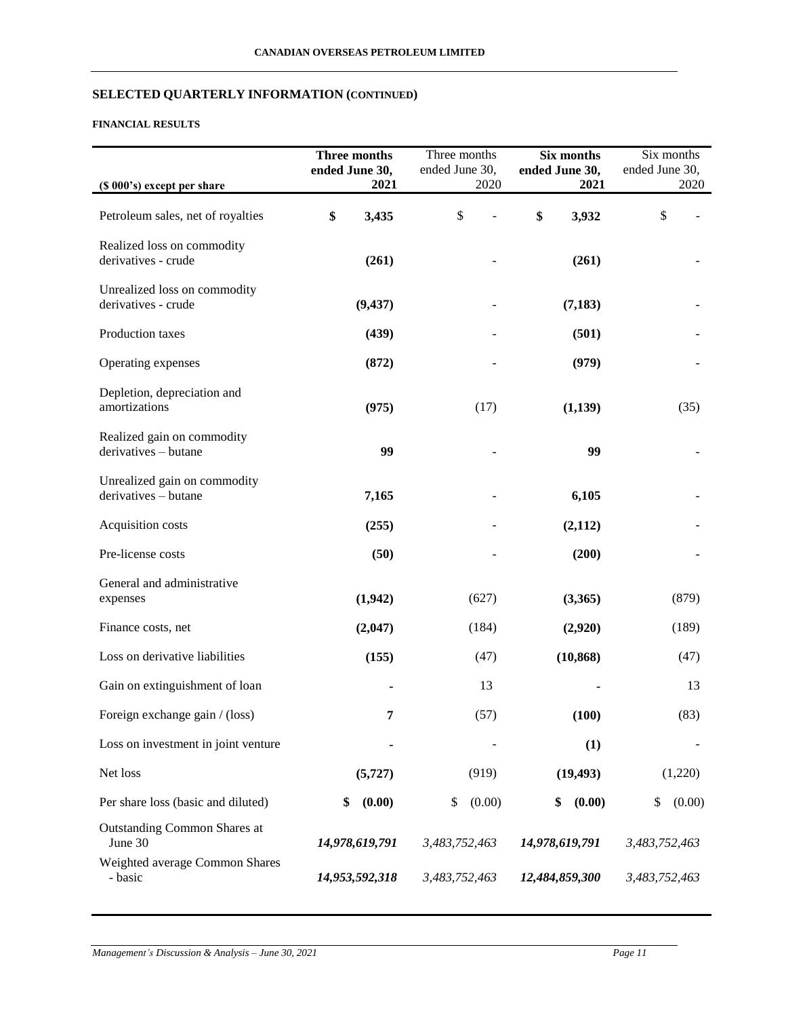# **FINANCIAL RESULTS**

|                                                      | Three months<br>ended June 30, | Three months<br>ended June 30, | Six months<br>ended June 30, | Six months<br>ended June 30, |
|------------------------------------------------------|--------------------------------|--------------------------------|------------------------------|------------------------------|
| (\$ 000's) except per share                          | 2021                           | 2020                           | 2021                         | 2020                         |
| Petroleum sales, net of royalties                    | 3,435<br>\$                    | \$                             | \$<br>3,932                  | \$                           |
| Realized loss on commodity<br>derivatives - crude    | (261)                          |                                | (261)                        |                              |
| Unrealized loss on commodity<br>derivatives - crude  | (9, 437)                       |                                | (7, 183)                     |                              |
| Production taxes                                     | (439)                          |                                | (501)                        |                              |
| Operating expenses                                   | (872)                          |                                | (979)                        |                              |
| Depletion, depreciation and<br>amortizations         | (975)                          | (17)                           | (1,139)                      | (35)                         |
| Realized gain on commodity<br>derivatives - butane   | 99                             |                                | 99                           |                              |
| Unrealized gain on commodity<br>derivatives - butane | 7,165                          |                                | 6,105                        |                              |
| Acquisition costs                                    | (255)                          |                                | (2,112)                      |                              |
| Pre-license costs                                    | (50)                           |                                | (200)                        |                              |
| General and administrative<br>expenses               | (1,942)                        | (627)                          | (3,365)                      | (879)                        |
| Finance costs, net                                   | (2,047)                        | (184)                          | (2,920)                      | (189)                        |
| Loss on derivative liabilities                       | (155)                          | (47)                           | (10, 868)                    | (47)                         |
| Gain on extinguishment of loan                       |                                | 13                             |                              | 13                           |
| Foreign exchange gain / (loss)                       | 7                              | (57)                           | (100)                        | (83)                         |
| Loss on investment in joint venture                  |                                |                                | (1)                          |                              |
| Net loss                                             | (5, 727)                       | (919)                          | (19, 493)                    | (1,220)                      |
| Per share loss (basic and diluted)                   | \$<br>(0.00)                   | \$<br>(0.00)                   | (0.00)<br>\$                 | (0.00)<br>\$                 |
| <b>Outstanding Common Shares at</b><br>June 30       | 14,978,619,791                 | 3,483,752,463                  | 14,978,619,791               | 3,483,752,463                |
| Weighted average Common Shares<br>- basic            | 14,953,592,318                 | 3,483,752,463                  | 12,484,859,300               | 3,483,752,463                |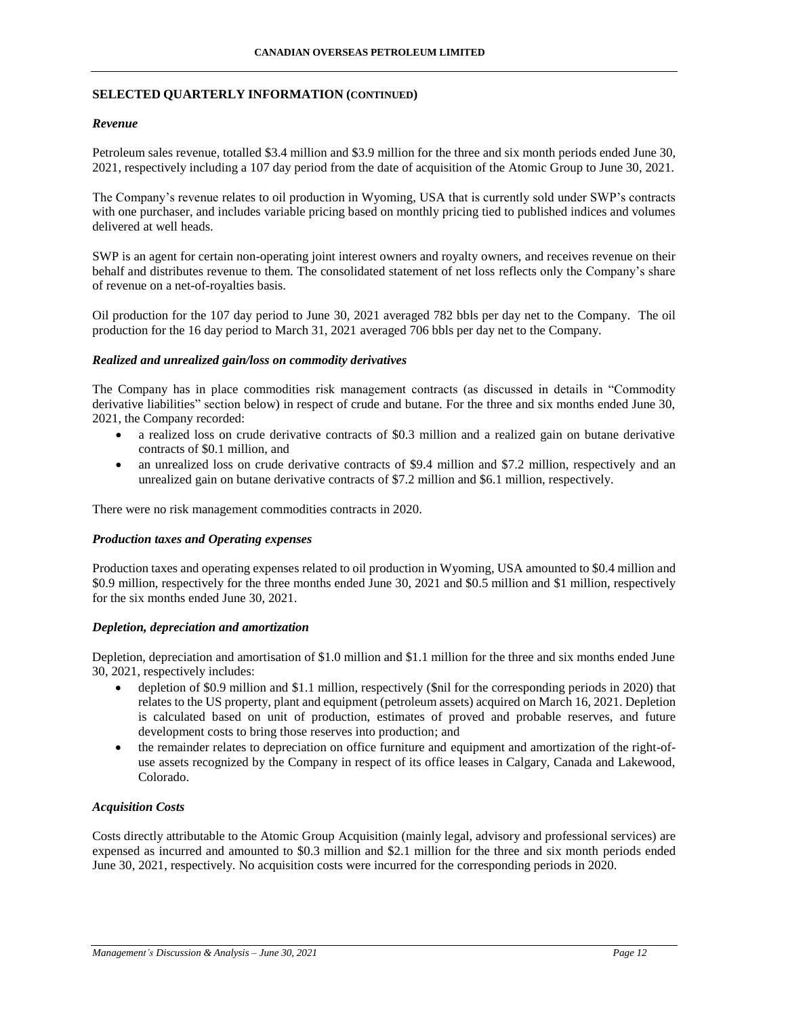### *Revenue*

Petroleum sales revenue, totalled \$3.4 million and \$3.9 million for the three and six month periods ended June 30, 2021, respectively including a 107 day period from the date of acquisition of the Atomic Group to June 30, 2021.

The Company's revenue relates to oil production in Wyoming, USA that is currently sold under SWP's contracts with one purchaser, and includes variable pricing based on monthly pricing tied to published indices and volumes delivered at well heads.

SWP is an agent for certain non-operating joint interest owners and royalty owners, and receives revenue on their behalf and distributes revenue to them. The consolidated statement of net loss reflects only the Company's share of revenue on a net-of-royalties basis.

Oil production for the 107 day period to June 30, 2021 averaged 782 bbls per day net to the Company. The oil production for the 16 day period to March 31, 2021 averaged 706 bbls per day net to the Company.

# *Realized and unrealized gain/loss on commodity derivatives*

The Company has in place commodities risk management contracts (as discussed in details in "Commodity derivative liabilities" section below) in respect of crude and butane. For the three and six months ended June 30, 2021, the Company recorded:

- a realized loss on crude derivative contracts of \$0.3 million and a realized gain on butane derivative contracts of \$0.1 million, and
- an unrealized loss on crude derivative contracts of \$9.4 million and \$7.2 million, respectively and an unrealized gain on butane derivative contracts of \$7.2 million and \$6.1 million, respectively.

There were no risk management commodities contracts in 2020.

### *Production taxes and Operating expenses*

Production taxes and operating expenses related to oil production in Wyoming, USA amounted to \$0.4 million and \$0.9 million, respectively for the three months ended June 30, 2021 and \$0.5 million and \$1 million, respectively for the six months ended June 30, 2021.

### *Depletion, depreciation and amortization*

Depletion, depreciation and amortisation of \$1.0 million and \$1.1 million for the three and six months ended June 30, 2021, respectively includes:

- depletion of \$0.9 million and \$1.1 million, respectively (\$nil for the corresponding periods in 2020) that relates to the US property, plant and equipment (petroleum assets) acquired on March 16, 2021. Depletion is calculated based on unit of production, estimates of proved and probable reserves, and future development costs to bring those reserves into production; and
- the remainder relates to depreciation on office furniture and equipment and amortization of the right-ofuse assets recognized by the Company in respect of its office leases in Calgary, Canada and Lakewood, Colorado.

### *Acquisition Costs*

Costs directly attributable to the Atomic Group Acquisition (mainly legal, advisory and professional services) are expensed as incurred and amounted to \$0.3 million and \$2.1 million for the three and six month periods ended June 30, 2021, respectively. No acquisition costs were incurred for the corresponding periods in 2020.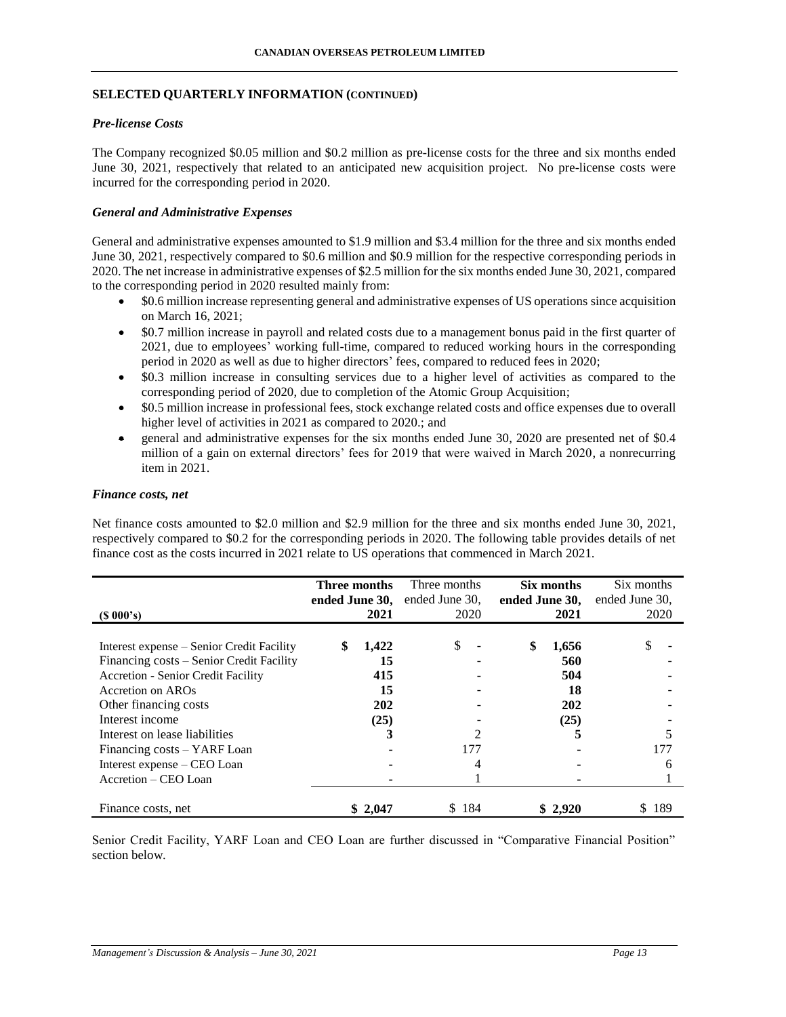### *Pre-license Costs*

The Company recognized \$0.05 million and \$0.2 million as pre-license costs for the three and six months ended June 30, 2021, respectively that related to an anticipated new acquisition project. No pre-license costs were incurred for the corresponding period in 2020.

### *General and Administrative Expenses*

General and administrative expenses amounted to \$1.9 million and \$3.4 million for the three and six months ended June 30, 2021, respectively compared to \$0.6 million and \$0.9 million for the respective corresponding periods in 2020. The net increase in administrative expenses of \$2.5 million for the six months ended June 30, 2021, compared to the corresponding period in 2020 resulted mainly from:

- \$0.6 million increase representing general and administrative expenses of US operations since acquisition on March 16, 2021;
- \$0.7 million increase in payroll and related costs due to a management bonus paid in the first quarter of 2021, due to employees' working full-time, compared to reduced working hours in the corresponding period in 2020 as well as due to higher directors' fees, compared to reduced fees in 2020;
- \$0.3 million increase in consulting services due to a higher level of activities as compared to the corresponding period of 2020, due to completion of the Atomic Group Acquisition;
- \$0.5 million increase in professional fees, stock exchange related costs and office expenses due to overall higher level of activities in 2021 as compared to 2020.; and
- eneral and administrative expenses for the six months ended June 30, 2020 are presented net of \$0.4 million of a gain on external directors' fees for 2019 that were waived in March 2020, a nonrecurring item in 2021.

### *Finance costs, net*

Net finance costs amounted to \$2.0 million and \$2.9 million for the three and six months ended June 30, 2021, respectively compared to \$0.2 for the corresponding periods in 2020. The following table provides details of net finance cost as the costs incurred in 2021 relate to US operations that commenced in March 2021.

| $(S\ 000's)$                                                                                                                                                                                                                                                                                                               | <b>Three months</b><br>ended June 30, | 2021                                         | Three months<br>ended June 30,<br>2020 | ended June 30, | Six months<br>2021                            | Six months<br>ended June 30,<br>2020 |
|----------------------------------------------------------------------------------------------------------------------------------------------------------------------------------------------------------------------------------------------------------------------------------------------------------------------------|---------------------------------------|----------------------------------------------|----------------------------------------|----------------|-----------------------------------------------|--------------------------------------|
| Interest expense – Senior Credit Facility<br>Financing costs – Senior Credit Facility<br><b>Accretion - Senior Credit Facility</b><br>Accretion on AROs<br>Other financing costs<br>Interest income<br>Interest on lease liabilities<br>Financing costs – YARF Loan<br>Interest expense – CEO Loan<br>Accretion – CEO Loan |                                       | 1,422<br>15<br>415<br>15<br>202<br>(25)<br>3 | \$<br>177                              | \$             | 1,656<br>560<br>504<br>18<br>202<br>(25)<br>5 | \$<br>177<br>6                       |
| Finance costs, net                                                                                                                                                                                                                                                                                                         |                                       | \$2,047                                      | 184<br>S                               |                | \$2,920                                       | 189                                  |

Senior Credit Facility, YARF Loan and CEO Loan are further discussed in "Comparative Financial Position" section below.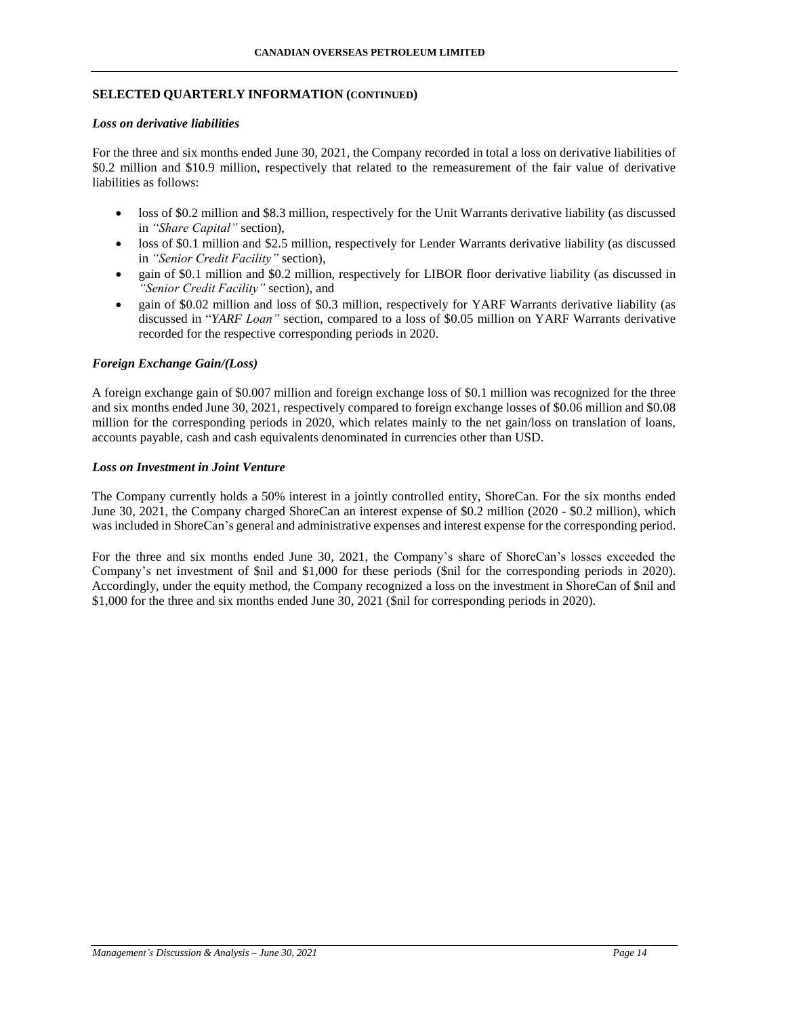# *Loss on derivative liabilities*

For the three and six months ended June 30, 2021, the Company recorded in total a loss on derivative liabilities of \$0.2 million and \$10.9 million, respectively that related to the remeasurement of the fair value of derivative liabilities as follows:

- loss of \$0.2 million and \$8.3 million, respectively for the Unit Warrants derivative liability (as discussed in *"Share Capital"* section),
- loss of \$0.1 million and \$2.5 million, respectively for Lender Warrants derivative liability (as discussed in *"Senior Credit Facility"* section),
- gain of \$0.1 million and \$0.2 million, respectively for LIBOR floor derivative liability (as discussed in *"Senior Credit Facility"* section), and
- gain of \$0.02 million and loss of \$0.3 million, respectively for YARF Warrants derivative liability (as discussed in "*YARF Loan"* section, compared to a loss of \$0.05 million on YARF Warrants derivative recorded for the respective corresponding periods in 2020.

### *Foreign Exchange Gain/(Loss)*

A foreign exchange gain of \$0.007 million and foreign exchange loss of \$0.1 million was recognized for the three and six months ended June 30, 2021, respectively compared to foreign exchange losses of \$0.06 million and \$0.08 million for the corresponding periods in 2020, which relates mainly to the net gain/loss on translation of loans, accounts payable, cash and cash equivalents denominated in currencies other than USD.

### *Loss on Investment in Joint Venture*

The Company currently holds a 50% interest in a jointly controlled entity, ShoreCan. For the six months ended June 30, 2021, the Company charged ShoreCan an interest expense of \$0.2 million (2020 - \$0.2 million), which was included in ShoreCan's general and administrative expenses and interest expense for the corresponding period.

For the three and six months ended June 30, 2021, the Company's share of ShoreCan's losses exceeded the Company's net investment of \$nil and \$1,000 for these periods (\$nil for the corresponding periods in 2020). Accordingly, under the equity method, the Company recognized a loss on the investment in ShoreCan of \$nil and \$1,000 for the three and six months ended June 30, 2021 (\$nil for corresponding periods in 2020).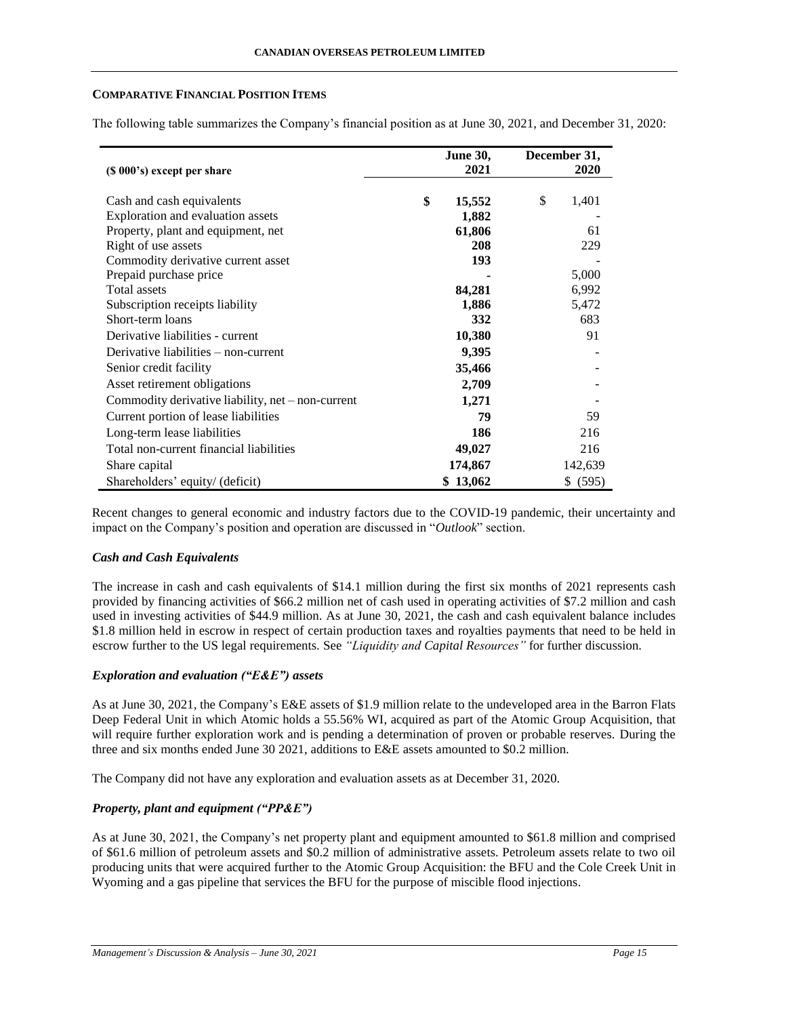### **COMPARATIVE FINANCIAL POSITION ITEMS**

The following table summarizes the Company's financial position as at June 30, 2021, and December 31, 2020:

|                                                   | <b>June 30,</b> | December 31, |
|---------------------------------------------------|-----------------|--------------|
| (\$ 000's) except per share                       | 2021            | 2020         |
| Cash and cash equivalents                         | \$<br>15,552    | \$<br>1,401  |
| Exploration and evaluation assets                 | 1,882           |              |
| Property, plant and equipment, net                | 61,806          | 61           |
| Right of use assets                               | 208             | 229          |
| Commodity derivative current asset                | 193             |              |
| Prepaid purchase price                            |                 | 5,000        |
| <b>Total</b> assets                               | 84,281          | 6,992        |
| Subscription receipts liability                   | 1,886           | 5,472        |
| Short-term loans                                  | 332             | 683          |
| Derivative liabilities - current                  | 10,380          | 91           |
| Derivative liabilities $-$ non-current            | 9,395           |              |
| Senior credit facility                            | 35,466          |              |
| Asset retirement obligations                      | 2,709           |              |
| Commodity derivative liability, net - non-current | 1,271           |              |
| Current portion of lease liabilities              | 79              | 59           |
| Long-term lease liabilities                       | 186             | 216          |
| Total non-current financial liabilities           | 49,027          | 216          |
| Share capital                                     | 174,867         | 142,639      |
| Shareholders' equity/ (deficit)                   | \$13,062        | \$ (595)     |

Recent changes to general economic and industry factors due to the COVID-19 pandemic, their uncertainty and impact on the Company's position and operation are discussed in "*Outlook*" section.

### *Cash and Cash Equivalents*

The increase in cash and cash equivalents of \$14.1 million during the first six months of 2021 represents cash provided by financing activities of \$66.2 million net of cash used in operating activities of \$7.2 million and cash used in investing activities of \$44.9 million. As at June 30, 2021, the cash and cash equivalent balance includes \$1.8 million held in escrow in respect of certain production taxes and royalties payments that need to be held in escrow further to the US legal requirements. See *"Liquidity and Capital Resources"* for further discussion.

### *Exploration and evaluation ("E&E") assets*

As at June 30, 2021, the Company's E&E assets of \$1.9 million relate to the undeveloped area in the Barron Flats Deep Federal Unit in which Atomic holds a 55.56% WI, acquired as part of the Atomic Group Acquisition, that will require further exploration work and is pending a determination of proven or probable reserves. During the three and six months ended June 30 2021, additions to E&E assets amounted to \$0.2 million.

The Company did not have any exploration and evaluation assets as at December 31, 2020.

### *Property, plant and equipment ("PP&E")*

As at June 30, 2021, the Company's net property plant and equipment amounted to \$61.8 million and comprised of \$61.6 million of petroleum assets and \$0.2 million of administrative assets. Petroleum assets relate to two oil producing units that were acquired further to the Atomic Group Acquisition: the BFU and the Cole Creek Unit in Wyoming and a gas pipeline that services the BFU for the purpose of miscible flood injections.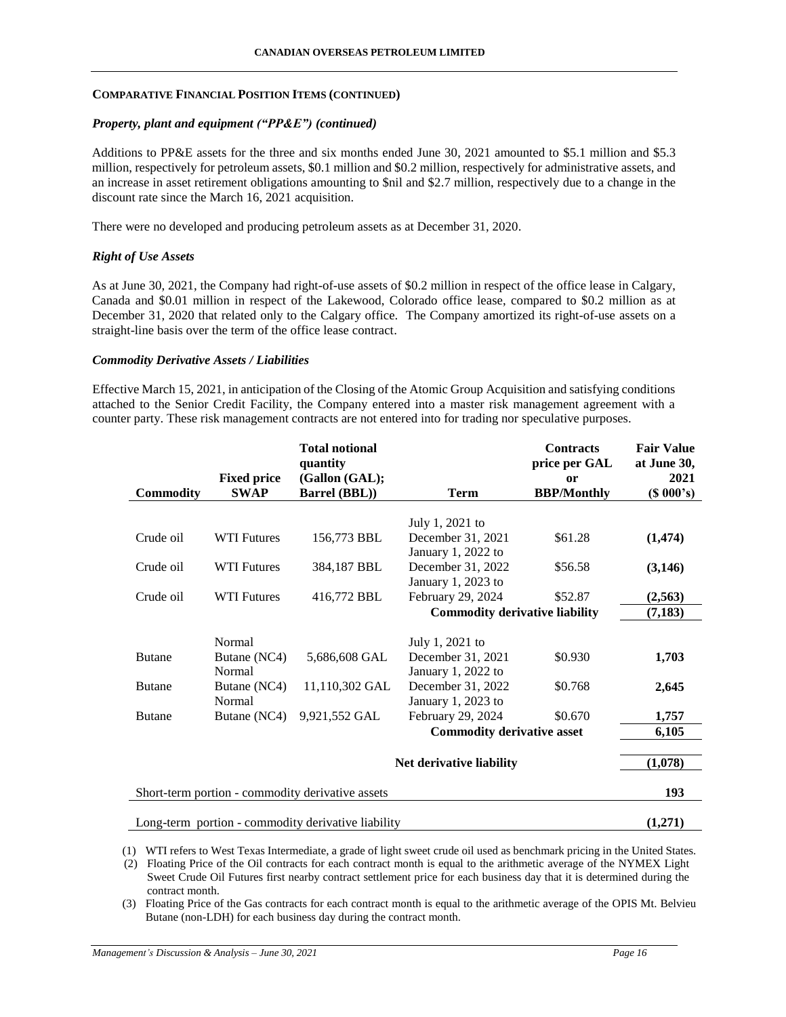### *Property, plant and equipment ("PP&E") (continued)*

Additions to PP&E assets for the three and six months ended June 30, 2021 amounted to \$5.1 million and \$5.3 million, respectively for petroleum assets, \$0.1 million and \$0.2 million, respectively for administrative assets, and an increase in asset retirement obligations amounting to \$nil and \$2.7 million, respectively due to a change in the discount rate since the March 16, 2021 acquisition.

There were no developed and producing petroleum assets as at December 31, 2020.

### *Right of Use Assets*

As at June 30, 2021, the Company had right-of-use assets of \$0.2 million in respect of the office lease in Calgary, Canada and \$0.01 million in respect of the Lakewood, Colorado office lease, compared to \$0.2 million as at December 31, 2020 that related only to the Calgary office. The Company amortized its right-of-use assets on a straight-line basis over the term of the office lease contract.

### *Commodity Derivative Assets / Liabilities*

Effective March 15, 2021, in anticipation of the Closing of the Atomic Group Acquisition and satisfying conditions attached to the Senior Credit Facility, the Company entered into a master risk management agreement with a counter party. These risk management contracts are not entered into for trading nor speculative purposes.

|                  |                                   | <b>Total notional</b><br>quantity                  |                                       | <b>Contracts</b><br>price per GAL | <b>Fair Value</b><br>at June 30, |
|------------------|-----------------------------------|----------------------------------------------------|---------------------------------------|-----------------------------------|----------------------------------|
| <b>Commodity</b> | <b>Fixed price</b><br><b>SWAP</b> | (Gallon (GAL);<br>Barrel (BBL))                    | <b>Term</b>                           | or<br><b>BBP/Monthly</b>          | 2021<br>(S 000's)                |
|                  |                                   |                                                    |                                       |                                   |                                  |
|                  |                                   |                                                    | July 1, 2021 to                       |                                   |                                  |
| Crude oil        | <b>WTI Futures</b>                | 156,773 BBL                                        | December 31, 2021                     | \$61.28                           | (1, 474)                         |
|                  |                                   |                                                    | January 1, 2022 to                    |                                   |                                  |
| Crude oil        | <b>WTI Futures</b>                | 384,187 BBL                                        | December 31, 2022                     | \$56.58                           | (3,146)                          |
|                  |                                   |                                                    | January 1, 2023 to                    |                                   |                                  |
| Crude oil        | <b>WTI Futures</b>                | 416,772 BBL                                        | February 29, 2024                     | \$52.87                           | (2,563)                          |
|                  |                                   |                                                    | <b>Commodity derivative liability</b> |                                   | (7, 183)                         |
|                  |                                   |                                                    |                                       |                                   |                                  |
|                  | Normal                            |                                                    | July 1, 2021 to                       |                                   |                                  |
| <b>Butane</b>    | Butane (NC4)                      | 5,686,608 GAL                                      | December 31, 2021                     | \$0.930                           | 1,703                            |
|                  | Normal                            |                                                    | January 1, 2022 to                    |                                   |                                  |
| <b>Butane</b>    | Butane (NC4)                      | 11,110,302 GAL                                     | December 31, 2022                     | \$0.768                           | 2,645                            |
|                  | Normal                            |                                                    | January 1, 2023 to                    |                                   |                                  |
| <b>Butane</b>    | Butane (NC4)                      | 9,921,552 GAL                                      | February 29, 2024                     | \$0.670                           | 1,757                            |
|                  |                                   |                                                    | <b>Commodity derivative asset</b>     |                                   | 6,105                            |
|                  |                                   |                                                    |                                       |                                   |                                  |
|                  |                                   |                                                    | Net derivative liability              |                                   | (1,078)                          |
|                  |                                   |                                                    |                                       |                                   |                                  |
|                  |                                   | Short-term portion - commodity derivative assets   |                                       |                                   | 193                              |
|                  |                                   |                                                    |                                       |                                   |                                  |
|                  |                                   | Long-term portion - commodity derivative liability |                                       |                                   | (1,271)                          |

(1) WTI refers to West Texas Intermediate, a grade of light sweet crude oil used as benchmark pricing in the United States.

(2) Floating Price of the Oil contracts for each contract month is equal to the arithmetic average of the NYMEX Light Sweet Crude Oil Futures first nearby contract settlement price for each business day that it is determined during the contract month.

(3) Floating Price of the Gas contracts for each contract month is equal to the arithmetic average of the OPIS Mt. Belvieu Butane (non-LDH) for each business day during the contract month.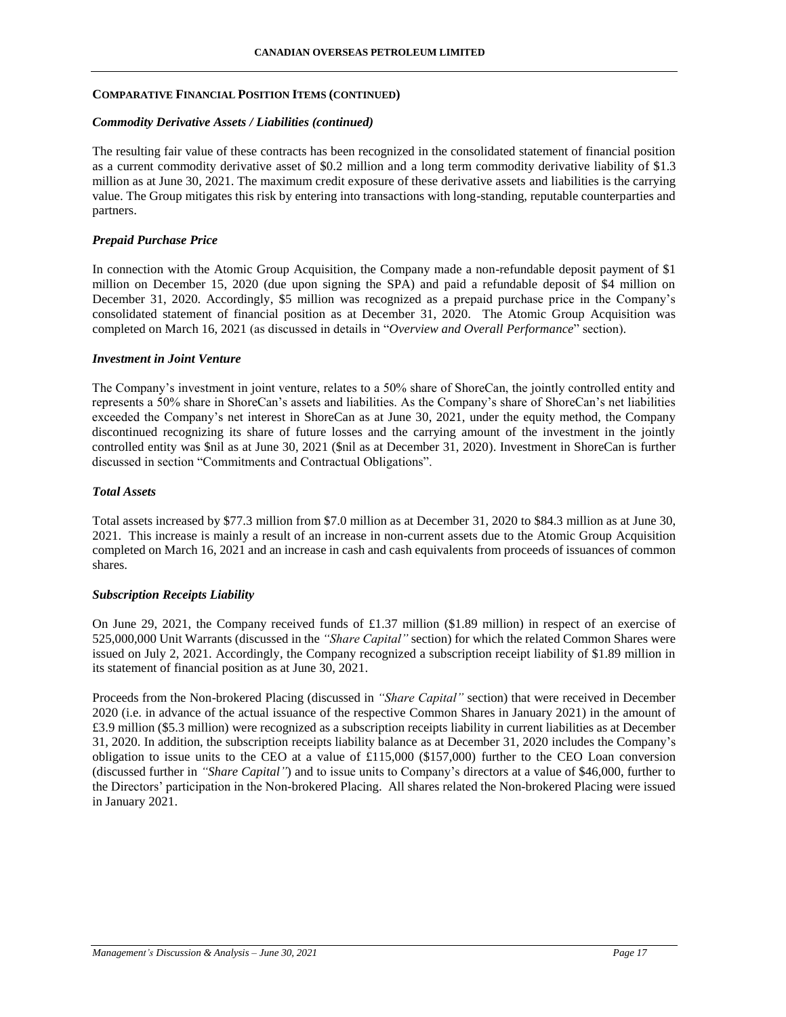### *Commodity Derivative Assets / Liabilities (continued)*

The resulting fair value of these contracts has been recognized in the consolidated statement of financial position as a current commodity derivative asset of \$0.2 million and a long term commodity derivative liability of \$1.3 million as at June 30, 2021. The maximum credit exposure of these derivative assets and liabilities is the carrying value. The Group mitigates this risk by entering into transactions with long-standing, reputable counterparties and partners.

### *Prepaid Purchase Price*

In connection with the Atomic Group Acquisition, the Company made a non-refundable deposit payment of \$1 million on December 15, 2020 (due upon signing the SPA) and paid a refundable deposit of \$4 million on December 31, 2020. Accordingly, \$5 million was recognized as a prepaid purchase price in the Company's consolidated statement of financial position as at December 31, 2020. The Atomic Group Acquisition was completed on March 16, 2021 (as discussed in details in "*Overview and Overall Performance*" section).

### *Investment in Joint Venture*

The Company's investment in joint venture, relates to a 50% share of ShoreCan, the jointly controlled entity and represents a 50% share in ShoreCan's assets and liabilities. As the Company's share of ShoreCan's net liabilities exceeded the Company's net interest in ShoreCan as at June 30, 2021, under the equity method, the Company discontinued recognizing its share of future losses and the carrying amount of the investment in the jointly controlled entity was \$nil as at June 30, 2021 (\$nil as at December 31, 2020). Investment in ShoreCan is further discussed in section "Commitments and Contractual Obligations".

### *Total Assets*

Total assets increased by \$77.3 million from \$7.0 million as at December 31, 2020 to \$84.3 million as at June 30, 2021. This increase is mainly a result of an increase in non-current assets due to the Atomic Group Acquisition completed on March 16, 2021 and an increase in cash and cash equivalents from proceeds of issuances of common shares.

### *Subscription Receipts Liability*

On June 29, 2021, the Company received funds of £1.37 million (\$1.89 million) in respect of an exercise of 525,000,000 Unit Warrants (discussed in the *"Share Capital"* section) for which the related Common Shares were issued on July 2, 2021. Accordingly, the Company recognized a subscription receipt liability of \$1.89 million in its statement of financial position as at June 30, 2021.

Proceeds from the Non-brokered Placing (discussed in *"Share Capital"* section) that were received in December 2020 (i.e. in advance of the actual issuance of the respective Common Shares in January 2021) in the amount of £3.9 million (\$5.3 million) were recognized as a subscription receipts liability in current liabilities as at December 31, 2020. In addition, the subscription receipts liability balance as at December 31, 2020 includes the Company's obligation to issue units to the CEO at a value of £115,000 (\$157,000) further to the CEO Loan conversion (discussed further in *"Share Capital"*) and to issue units to Company's directors at a value of \$46,000, further to the Directors' participation in the Non-brokered Placing. All shares related the Non-brokered Placing were issued in January 2021.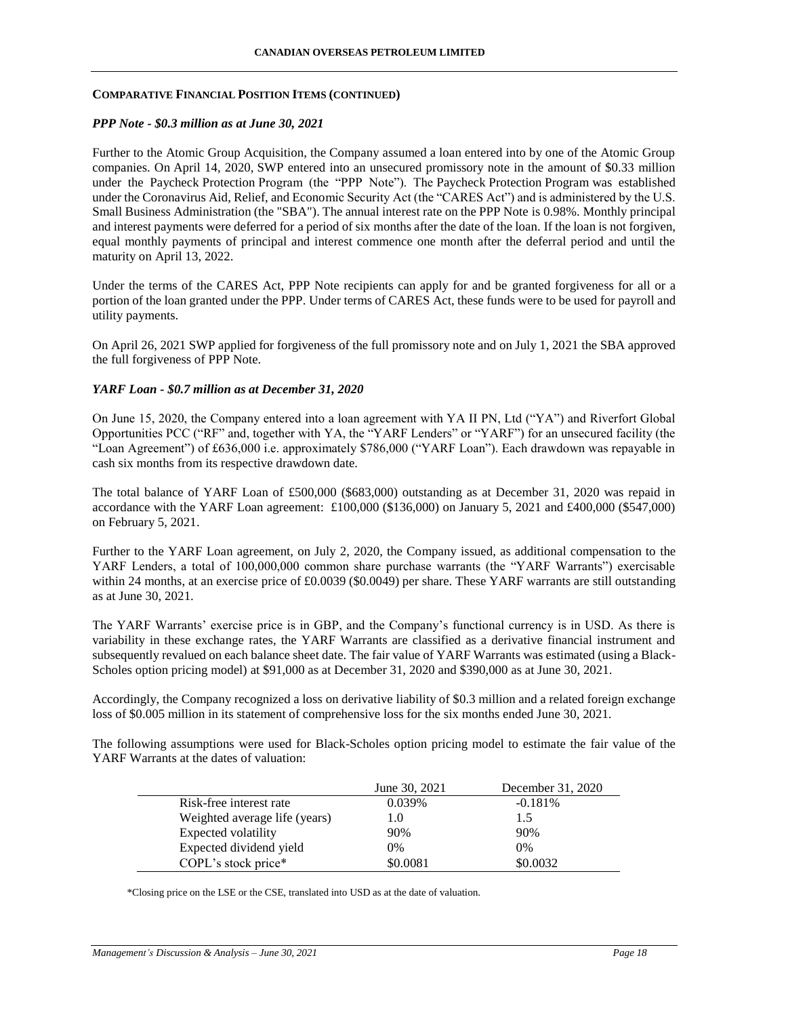### *PPP Note - \$0.3 million as at June 30, 2021*

Further to the Atomic Group Acquisition, the Company assumed a loan entered into by one of the Atomic Group companies. On April 14, 2020, SWP entered into an unsecured promissory note in the amount of \$0.33 million under the Paycheck Protection Program (the "PPP Note"). The Paycheck Protection Program was established under the Coronavirus Aid, Relief, and Economic Security Act (the "CARES Act") and is administered by the U.S. Small Business Administration (the "SBA"). The annual interest rate on the PPP Note is 0.98%. Monthly principal and interest payments were deferred for a period of six months after the date of the loan. If the loan is not forgiven, equal monthly payments of principal and interest commence one month after the deferral period and until the maturity on April 13, 2022.

Under the terms of the CARES Act, PPP Note recipients can apply for and be granted forgiveness for all or a portion of the loan granted under the PPP. Under terms of CARES Act, these funds were to be used for payroll and utility payments.

On April 26, 2021 SWP applied for forgiveness of the full promissory note and on July 1, 2021 the SBA approved the full forgiveness of PPP Note.

### *YARF Loan - \$0.7 million as at December 31, 2020*

On June 15, 2020, the Company entered into a loan agreement with YA II PN, Ltd ("YA") and Riverfort Global Opportunities PCC ("RF" and, together with YA, the "YARF Lenders" or "YARF") for an unsecured facility (the "Loan Agreement") of £636,000 i.e. approximately \$786,000 ("YARF Loan"). Each drawdown was repayable in cash six months from its respective drawdown date.

The total balance of YARF Loan of £500,000 (\$683,000) outstanding as at December 31, 2020 was repaid in accordance with the YARF Loan agreement: £100,000 (\$136,000) on January 5, 2021 and £400,000 (\$547,000) on February 5, 2021.

Further to the YARF Loan agreement, on July 2, 2020, the Company issued, as additional compensation to the YARF Lenders, a total of 100,000,000 common share purchase warrants (the "YARF Warrants") exercisable within 24 months, at an exercise price of £0.0039 (\$0.0049) per share. These YARF warrants are still outstanding as at June 30, 2021.

The YARF Warrants' exercise price is in GBP, and the Company's functional currency is in USD. As there is variability in these exchange rates, the YARF Warrants are classified as a derivative financial instrument and subsequently revalued on each balance sheet date. The fair value of YARF Warrants was estimated (using a Black-Scholes option pricing model) at \$91,000 as at December 31, 2020 and \$390,000 as at June 30, 2021.

Accordingly, the Company recognized a loss on derivative liability of \$0.3 million and a related foreign exchange loss of \$0.005 million in its statement of comprehensive loss for the six months ended June 30, 2021.

The following assumptions were used for Black-Scholes option pricing model to estimate the fair value of the YARF Warrants at the dates of valuation:

|                               | June 30, 2021 | December 31, 2020 |
|-------------------------------|---------------|-------------------|
| Risk-free interest rate       | 0.039%        | $-0.181%$         |
| Weighted average life (years) | 1.0           | 1.5               |
| Expected volatility           | 90%           | 90%               |
| Expected dividend yield       | $0\%$         | $0\%$             |
| COPL's stock price*           | \$0.0081      | \$0.0032          |

\*Closing price on the LSE or the CSE, translated into USD as at the date of valuation.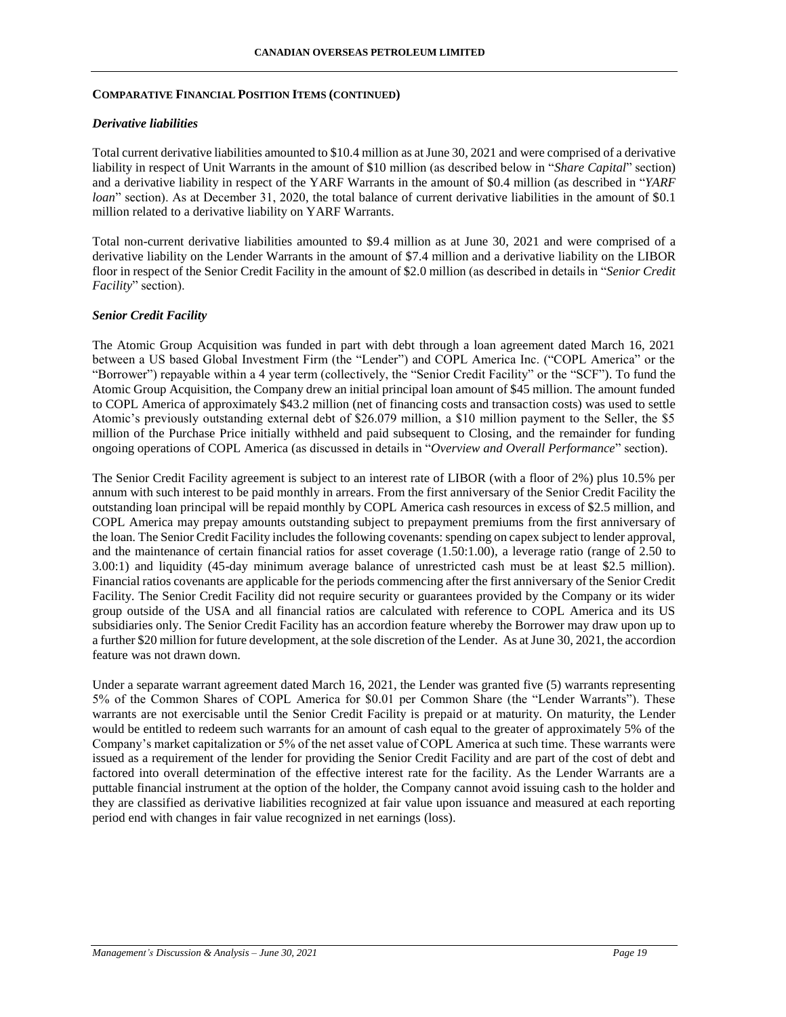#### *Derivative liabilities*

Total current derivative liabilities amounted to \$10.4 million as at June 30, 2021 and were comprised of a derivative liability in respect of Unit Warrants in the amount of \$10 million (as described below in "*Share Capital*" section) and a derivative liability in respect of the YARF Warrants in the amount of \$0.4 million (as described in "*YARF loan*" section). As at December 31, 2020, the total balance of current derivative liabilities in the amount of \$0.1 million related to a derivative liability on YARF Warrants.

Total non-current derivative liabilities amounted to \$9.4 million as at June 30, 2021 and were comprised of a derivative liability on the Lender Warrants in the amount of \$7.4 million and a derivative liability on the LIBOR floor in respect of the Senior Credit Facility in the amount of \$2.0 million (as described in details in "*Senior Credit Facility*" section).

### *Senior Credit Facility*

The Atomic Group Acquisition was funded in part with debt through a loan agreement dated March 16, 2021 between a US based Global Investment Firm (the "Lender") and COPL America Inc. ("COPL America" or the "Borrower") repayable within a 4 year term (collectively, the "Senior Credit Facility" or the "SCF"). To fund the Atomic Group Acquisition, the Company drew an initial principal loan amount of \$45 million. The amount funded to COPL America of approximately \$43.2 million (net of financing costs and transaction costs) was used to settle Atomic's previously outstanding external debt of \$26.079 million, a \$10 million payment to the Seller, the \$5 million of the Purchase Price initially withheld and paid subsequent to Closing, and the remainder for funding ongoing operations of COPL America (as discussed in details in "*Overview and Overall Performance*" section).

The Senior Credit Facility agreement is subject to an interest rate of LIBOR (with a floor of 2%) plus 10.5% per annum with such interest to be paid monthly in arrears. From the first anniversary of the Senior Credit Facility the outstanding loan principal will be repaid monthly by COPL America cash resources in excess of \$2.5 million, and COPL America may prepay amounts outstanding subject to prepayment premiums from the first anniversary of the loan. The Senior Credit Facility includes the following covenants: spending on capex subject to lender approval, and the maintenance of certain financial ratios for asset coverage (1.50:1.00), a leverage ratio (range of 2.50 to 3.00:1) and liquidity (45-day minimum average balance of unrestricted cash must be at least \$2.5 million). Financial ratios covenants are applicable for the periods commencing after the first anniversary of the Senior Credit Facility. The Senior Credit Facility did not require security or guarantees provided by the Company or its wider group outside of the USA and all financial ratios are calculated with reference to COPL America and its US subsidiaries only. The Senior Credit Facility has an accordion feature whereby the Borrower may draw upon up to a further \$20 million for future development, at the sole discretion of the Lender. As at June 30, 2021, the accordion feature was not drawn down.

Under a separate warrant agreement dated March 16, 2021, the Lender was granted five (5) warrants representing 5% of the Common Shares of COPL America for \$0.01 per Common Share (the "Lender Warrants"). These warrants are not exercisable until the Senior Credit Facility is prepaid or at maturity. On maturity, the Lender would be entitled to redeem such warrants for an amount of cash equal to the greater of approximately 5% of the Company's market capitalization or 5% of the net asset value of COPL America at such time. These warrants were issued as a requirement of the lender for providing the Senior Credit Facility and are part of the cost of debt and factored into overall determination of the effective interest rate for the facility. As the Lender Warrants are a puttable financial instrument at the option of the holder, the Company cannot avoid issuing cash to the holder and they are classified as derivative liabilities recognized at fair value upon issuance and measured at each reporting period end with changes in fair value recognized in net earnings (loss).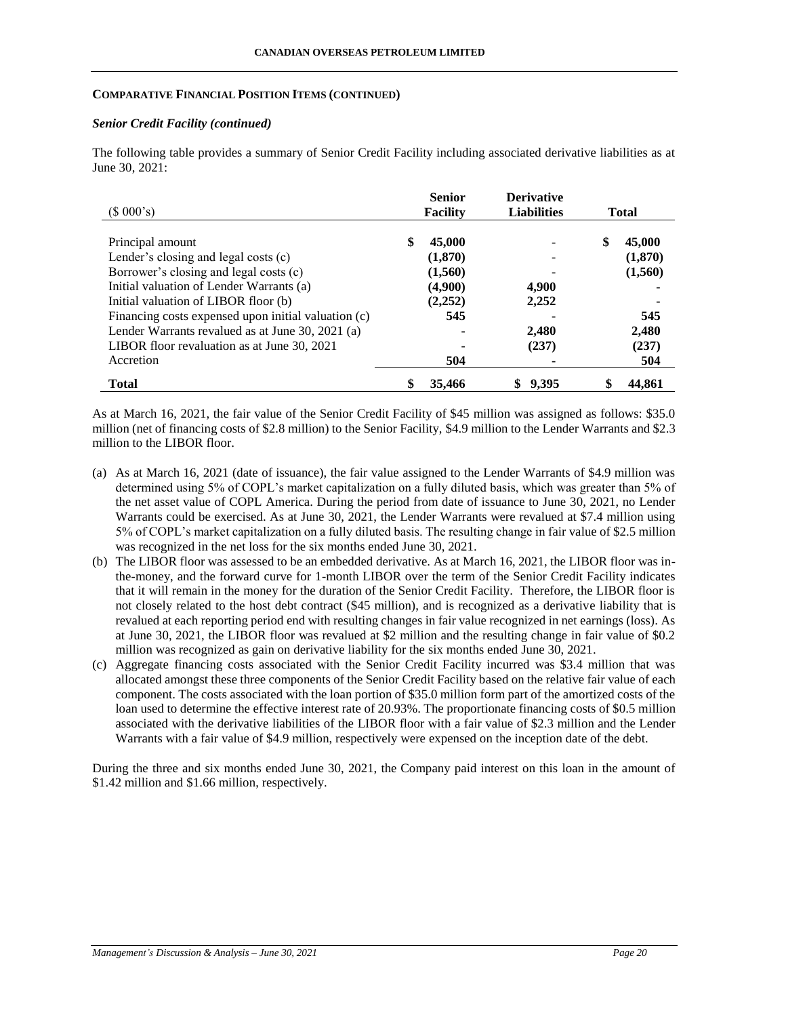#### *Senior Credit Facility (continued)*

The following table provides a summary of Senior Credit Facility including associated derivative liabilities as at June 30, 2021:

| (\$000's)                                           | <b>Senior</b><br>Facility | <b>Derivative</b><br><b>Liabilities</b> | <b>Total</b> |
|-----------------------------------------------------|---------------------------|-----------------------------------------|--------------|
|                                                     |                           |                                         |              |
| Principal amount                                    | \$.<br>45,000             |                                         | 45,000<br>\$ |
| Lender's closing and legal costs (c)                | (1,870)                   |                                         | (1,870)      |
| Borrower's closing and legal costs (c)              | (1,560)                   |                                         | (1,560)      |
| Initial valuation of Lender Warrants (a)            | (4,900)                   | 4,900                                   |              |
| Initial valuation of LIBOR floor (b)                | (2,252)                   | 2,252                                   |              |
| Financing costs expensed upon initial valuation (c) | 545                       |                                         | 545          |
| Lender Warrants revalued as at June 30, 2021 (a)    |                           | 2,480                                   | 2,480        |
| LIBOR floor revaluation as at June 30, 2021         |                           | (237)                                   | (237)        |
| Accretion                                           | 504                       |                                         | 504          |
| <b>Total</b>                                        | 35,466                    | 9.395                                   | 44,861       |

As at March 16, 2021, the fair value of the Senior Credit Facility of \$45 million was assigned as follows: \$35.0 million (net of financing costs of \$2.8 million) to the Senior Facility, \$4.9 million to the Lender Warrants and \$2.3 million to the LIBOR floor.

- (a) As at March 16, 2021 (date of issuance), the fair value assigned to the Lender Warrants of \$4.9 million was determined using 5% of COPL's market capitalization on a fully diluted basis, which was greater than 5% of the net asset value of COPL America. During the period from date of issuance to June 30, 2021, no Lender Warrants could be exercised. As at June 30, 2021, the Lender Warrants were revalued at \$7.4 million using 5% of COPL's market capitalization on a fully diluted basis. The resulting change in fair value of \$2.5 million was recognized in the net loss for the six months ended June 30, 2021.
- (b) The LIBOR floor was assessed to be an embedded derivative. As at March 16, 2021, the LIBOR floor was inthe-money, and the forward curve for 1-month LIBOR over the term of the Senior Credit Facility indicates that it will remain in the money for the duration of the Senior Credit Facility. Therefore, the LIBOR floor is not closely related to the host debt contract (\$45 million), and is recognized as a derivative liability that is revalued at each reporting period end with resulting changes in fair value recognized in net earnings (loss). As at June 30, 2021, the LIBOR floor was revalued at \$2 million and the resulting change in fair value of \$0.2 million was recognized as gain on derivative liability for the six months ended June 30, 2021.
- (c) Aggregate financing costs associated with the Senior Credit Facility incurred was \$3.4 million that was allocated amongst these three components of the Senior Credit Facility based on the relative fair value of each component. The costs associated with the loan portion of \$35.0 million form part of the amortized costs of the loan used to determine the effective interest rate of 20.93%. The proportionate financing costs of \$0.5 million associated with the derivative liabilities of the LIBOR floor with a fair value of \$2.3 million and the Lender Warrants with a fair value of \$4.9 million, respectively were expensed on the inception date of the debt.

During the three and six months ended June 30, 2021, the Company paid interest on this loan in the amount of \$1.42 million and \$1.66 million, respectively.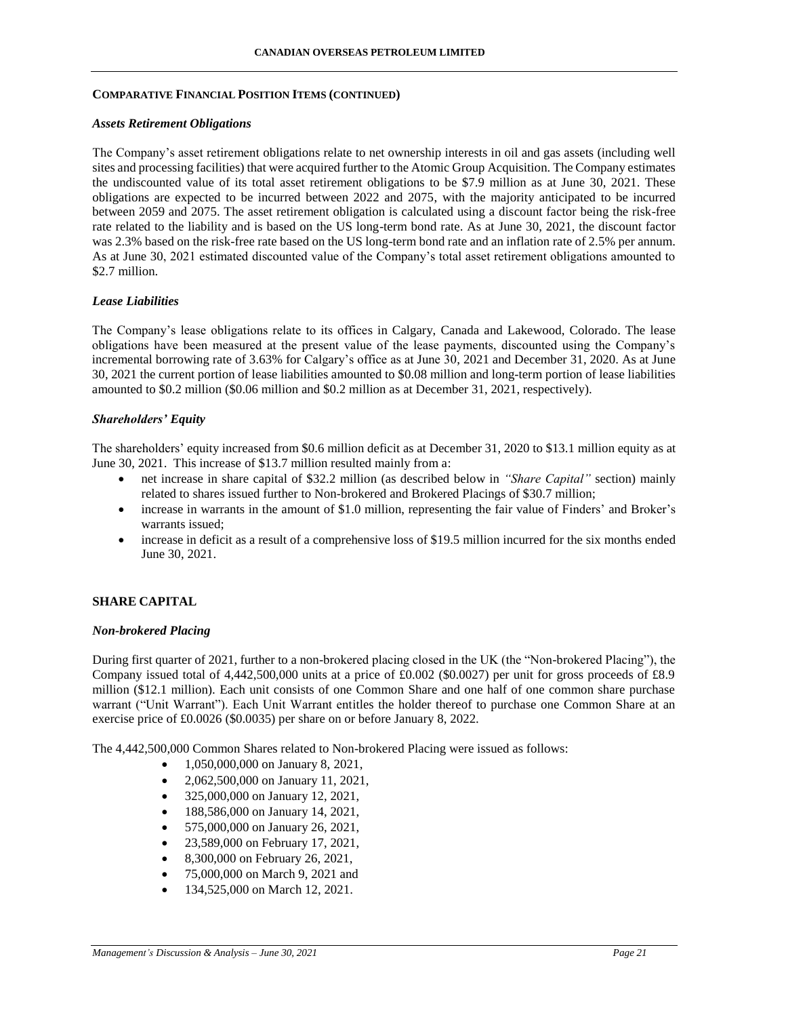#### *Assets Retirement Obligations*

The Company's asset retirement obligations relate to net ownership interests in oil and gas assets (including well sites and processing facilities) that were acquired further to the Atomic Group Acquisition. The Company estimates the undiscounted value of its total asset retirement obligations to be \$7.9 million as at June 30, 2021. These obligations are expected to be incurred between 2022 and 2075, with the majority anticipated to be incurred between 2059 and 2075. The asset retirement obligation is calculated using a discount factor being the risk-free rate related to the liability and is based on the US long-term bond rate. As at June 30, 2021, the discount factor was 2.3% based on the risk-free rate based on the US long-term bond rate and an inflation rate of 2.5% per annum. As at June 30, 2021 estimated discounted value of the Company's total asset retirement obligations amounted to \$2.7 million.

### *Lease Liabilities*

The Company's lease obligations relate to its offices in Calgary, Canada and Lakewood, Colorado. The lease obligations have been measured at the present value of the lease payments, discounted using the Company's incremental borrowing rate of 3.63% for Calgary's office as at June 30, 2021 and December 31, 2020. As at June 30, 2021 the current portion of lease liabilities amounted to \$0.08 million and long-term portion of lease liabilities amounted to \$0.2 million (\$0.06 million and \$0.2 million as at December 31, 2021, respectively).

#### *Shareholders' Equity*

The shareholders' equity increased from \$0.6 million deficit as at December 31, 2020 to \$13.1 million equity as at June 30, 2021. This increase of \$13.7 million resulted mainly from a:

- net increase in share capital of \$32.2 million (as described below in *"Share Capital"* section) mainly related to shares issued further to Non-brokered and Brokered Placings of \$30.7 million;
- increase in warrants in the amount of \$1.0 million, representing the fair value of Finders' and Broker's warrants issued;
- increase in deficit as a result of a comprehensive loss of \$19.5 million incurred for the six months ended June 30, 2021.

### **SHARE CAPITAL**

#### *Non-brokered Placing*

During first quarter of 2021, further to a non-brokered placing closed in the UK (the "Non-brokered Placing"), the Company issued total of 4,442,500,000 units at a price of £0.002 (\$0.0027) per unit for gross proceeds of £8.9 million (\$12.1 million). Each unit consists of one Common Share and one half of one common share purchase warrant ("Unit Warrant"). Each Unit Warrant entitles the holder thereof to purchase one Common Share at an exercise price of £0.0026 (\$0.0035) per share on or before January 8, 2022.

The 4,442,500,000 Common Shares related to Non-brokered Placing were issued as follows:

- $1,050,000,000$  on January 8, 2021,
- 2,062,500,000 on January 11, 2021,
- 325,000,000 on January 12, 2021,
- 188,586,000 on January 14, 2021,
- 575,000,000 on January 26, 2021,
- 23,589,000 on February 17, 2021,
- 8,300,000 on February 26, 2021,
- 75,000,000 on March 9, 2021 and
- 134,525,000 on March 12, 2021.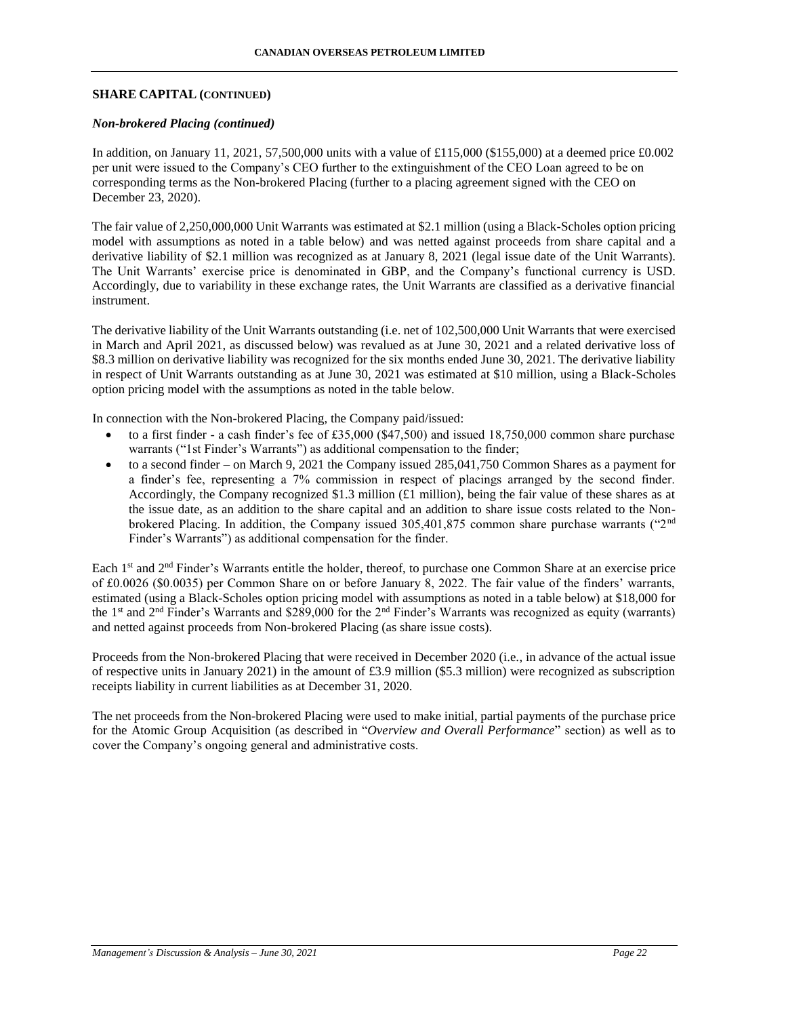### *Non-brokered Placing (continued)*

In addition, on January 11, 2021, 57,500,000 units with a value of £115,000 (\$155,000) at a deemed price £0.002 per unit were issued to the Company's CEO further to the extinguishment of the CEO Loan agreed to be on corresponding terms as the Non-brokered Placing (further to a placing agreement signed with the CEO on December 23, 2020).

The fair value of 2,250,000,000 Unit Warrants was estimated at \$2.1 million (using a Black-Scholes option pricing model with assumptions as noted in a table below) and was netted against proceeds from share capital and a derivative liability of \$2.1 million was recognized as at January 8, 2021 (legal issue date of the Unit Warrants). The Unit Warrants' exercise price is denominated in GBP, and the Company's functional currency is USD. Accordingly, due to variability in these exchange rates, the Unit Warrants are classified as a derivative financial instrument.

The derivative liability of the Unit Warrants outstanding (i.e. net of 102,500,000 Unit Warrants that were exercised in March and April 2021, as discussed below) was revalued as at June 30, 2021 and a related derivative loss of \$8.3 million on derivative liability was recognized for the six months ended June 30, 2021. The derivative liability in respect of Unit Warrants outstanding as at June 30, 2021 was estimated at \$10 million, using a Black-Scholes option pricing model with the assumptions as noted in the table below.

In connection with the Non-brokered Placing, the Company paid/issued:

- to a first finder a cash finder's fee of £35,000 (\$47,500) and issued 18,750,000 common share purchase warrants ("1st Finder's Warrants") as additional compensation to the finder;
- to a second finder on March 9, 2021 the Company issued 285,041,750 Common Shares as a payment for a finder's fee, representing a 7% commission in respect of placings arranged by the second finder. Accordingly, the Company recognized \$1.3 million (£1 million), being the fair value of these shares as at the issue date, as an addition to the share capital and an addition to share issue costs related to the Nonbrokered Placing. In addition, the Company issued 305,401,875 common share purchase warrants ("2nd Finder's Warrants") as additional compensation for the finder.

Each 1<sup>st</sup> and 2<sup>nd</sup> Finder's Warrants entitle the holder, thereof, to purchase one Common Share at an exercise price of £0.0026 (\$0.0035) per Common Share on or before January 8, 2022. The fair value of the finders' warrants, estimated (using a Black-Scholes option pricing model with assumptions as noted in a table below) at \$18,000 for the 1<sup>st</sup> and  $2<sup>nd</sup>$  Finder's Warrants and \$289,000 for the  $2<sup>nd</sup>$  Finder's Warrants was recognized as equity (warrants) and netted against proceeds from Non-brokered Placing (as share issue costs).

Proceeds from the Non-brokered Placing that were received in December 2020 (i.e., in advance of the actual issue of respective units in January 2021) in the amount of £3.9 million (\$5.3 million) were recognized as subscription receipts liability in current liabilities as at December 31, 2020.

The net proceeds from the Non-brokered Placing were used to make initial, partial payments of the purchase price for the Atomic Group Acquisition (as described in "*Overview and Overall Performance*" section) as well as to cover the Company's ongoing general and administrative costs.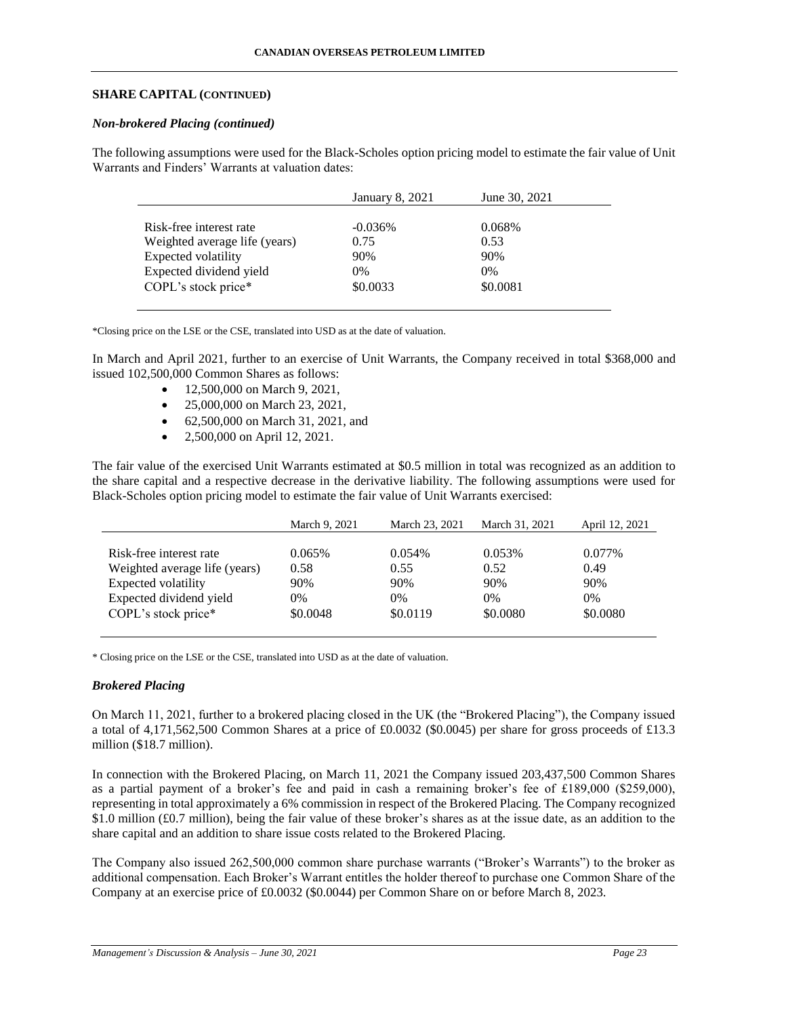### *Non-brokered Placing (continued)*

The following assumptions were used for the Black-Scholes option pricing model to estimate the fair value of Unit Warrants and Finders' Warrants at valuation dates:

|                               | January 8, 2021 | June 30, 2021 |  |
|-------------------------------|-----------------|---------------|--|
|                               |                 |               |  |
| Risk-free interest rate       | $-0.036\%$      | 0.068%        |  |
| Weighted average life (years) | 0.75            | 0.53          |  |
| Expected volatility           | 90%             | 90%           |  |
| Expected dividend yield       | $0\%$           | $0\%$         |  |
| COPL's stock price*           | \$0.0033        | \$0.0081      |  |
|                               |                 |               |  |

\*Closing price on the LSE or the CSE, translated into USD as at the date of valuation.

In March and April 2021, further to an exercise of Unit Warrants, the Company received in total \$368,000 and issued 102,500,000 Common Shares as follows:

- 12,500,000 on March 9, 2021,
- 25,000,000 on March 23, 2021,
- 62,500,000 on March 31, 2021, and
- 2,500,000 on April 12, 2021.

The fair value of the exercised Unit Warrants estimated at \$0.5 million in total was recognized as an addition to the share capital and a respective decrease in the derivative liability. The following assumptions were used for Black-Scholes option pricing model to estimate the fair value of Unit Warrants exercised:

|                               | March 9, 2021 | March 23, 2021 | March 31, 2021 | April 12, 2021 |
|-------------------------------|---------------|----------------|----------------|----------------|
|                               |               |                |                |                |
| Risk-free interest rate       | 0.065%        | 0.054%         | 0.053%         | $0.077\%$      |
| Weighted average life (years) | 0.58          | 0.55           | 0.52           | 0.49           |
| Expected volatility           | 90%           | 90%            | 90%            | 90%            |
| Expected dividend yield       | 0%            | 0%             | $0\%$          | $0\%$          |
| COPL's stock price*           | \$0.0048      | \$0.0119       | \$0.0080       | \$0.0080       |

\* Closing price on the LSE or the CSE, translated into USD as at the date of valuation.

### *Brokered Placing*

On March 11, 2021, further to a brokered placing closed in the UK (the "Brokered Placing"), the Company issued a total of 4,171,562,500 Common Shares at a price of £0.0032 (\$0.0045) per share for gross proceeds of £13.3 million (\$18.7 million).

In connection with the Brokered Placing, on March 11, 2021 the Company issued 203,437,500 Common Shares as a partial payment of a broker's fee and paid in cash a remaining broker's fee of £189,000 (\$259,000), representing in total approximately a 6% commission in respect of the Brokered Placing. The Company recognized \$1.0 million (£0.7 million), being the fair value of these broker's shares as at the issue date, as an addition to the share capital and an addition to share issue costs related to the Brokered Placing.

The Company also issued 262,500,000 common share purchase warrants ("Broker's Warrants") to the broker as additional compensation. Each Broker's Warrant entitles the holder thereof to purchase one Common Share of the Company at an exercise price of £0.0032 (\$0.0044) per Common Share on or before March 8, 2023.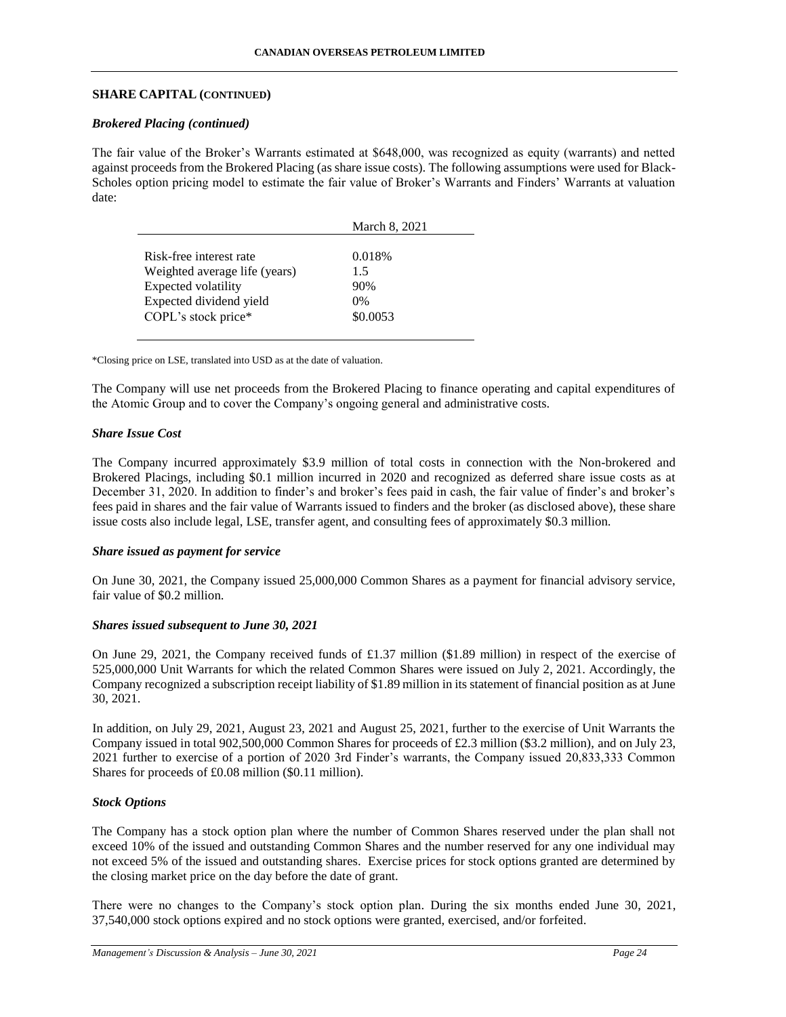### *Brokered Placing (continued)*

The fair value of the Broker's Warrants estimated at \$648,000, was recognized as equity (warrants) and netted against proceeds from the Brokered Placing (as share issue costs). The following assumptions were used for Black-Scholes option pricing model to estimate the fair value of Broker's Warrants and Finders' Warrants at valuation date:

|                               | March 8, 2021 |
|-------------------------------|---------------|
|                               |               |
| Risk-free interest rate       | 0.018%        |
| Weighted average life (years) | 1.5           |
| Expected volatility           | 90%           |
| Expected dividend yield       | $0\%$         |
| COPL's stock price*           | \$0.0053      |
|                               |               |

\*Closing price on LSE, translated into USD as at the date of valuation.

The Company will use net proceeds from the Brokered Placing to finance operating and capital expenditures of the Atomic Group and to cover the Company's ongoing general and administrative costs.

### *Share Issue Cost*

The Company incurred approximately \$3.9 million of total costs in connection with the Non-brokered and Brokered Placings, including \$0.1 million incurred in 2020 and recognized as deferred share issue costs as at December 31, 2020. In addition to finder's and broker's fees paid in cash, the fair value of finder's and broker's fees paid in shares and the fair value of Warrants issued to finders and the broker (as disclosed above), these share issue costs also include legal, LSE, transfer agent, and consulting fees of approximately \$0.3 million.

### *Share issued as payment for service*

On June 30, 2021, the Company issued 25,000,000 Common Shares as a payment for financial advisory service, fair value of \$0.2 million.

### *Shares issued subsequent to June 30, 2021*

On June 29, 2021, the Company received funds of £1.37 million (\$1.89 million) in respect of the exercise of 525,000,000 Unit Warrants for which the related Common Shares were issued on July 2, 2021. Accordingly, the Company recognized a subscription receipt liability of \$1.89 million in its statement of financial position as at June 30, 2021.

In addition, on July 29, 2021, August 23, 2021 and August 25, 2021, further to the exercise of Unit Warrants the Company issued in total 902,500,000 Common Shares for proceeds of £2.3 million (\$3.2 million), and on July 23, 2021 further to exercise of a portion of 2020 3rd Finder's warrants, the Company issued 20,833,333 Common Shares for proceeds of £0.08 million (\$0.11 million).

### *Stock Options*

The Company has a stock option plan where the number of Common Shares reserved under the plan shall not exceed 10% of the issued and outstanding Common Shares and the number reserved for any one individual may not exceed 5% of the issued and outstanding shares. Exercise prices for stock options granted are determined by the closing market price on the day before the date of grant.

There were no changes to the Company's stock option plan. During the six months ended June 30, 2021, 37,540,000 stock options expired and no stock options were granted, exercised, and/or forfeited.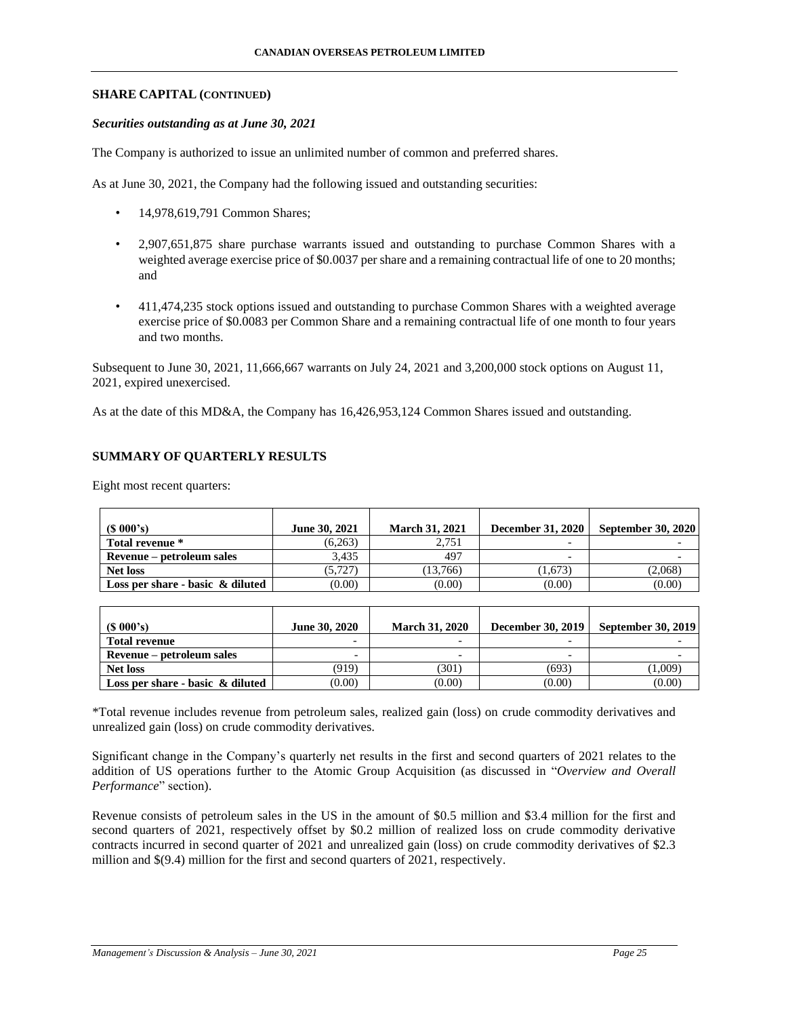#### *Securities outstanding as at June 30, 2021*

The Company is authorized to issue an unlimited number of common and preferred shares.

As at June 30, 2021, the Company had the following issued and outstanding securities:

- 14,978,619,791 Common Shares;
- 2,907,651,875 share purchase warrants issued and outstanding to purchase Common Shares with a weighted average exercise price of \$0.0037 per share and a remaining contractual life of one to 20 months; and
- 411,474,235 stock options issued and outstanding to purchase Common Shares with a weighted average exercise price of \$0.0083 per Common Share and a remaining contractual life of one month to four years and two months.

Subsequent to June 30, 2021, 11,666,667 warrants on July 24, 2021 and 3,200,000 stock options on August 11, 2021, expired unexercised.

As at the date of this MD&A, the Company has 16,426,953,124 Common Shares issued and outstanding.

### **SUMMARY OF QUARTERLY RESULTS**

| $(S\ 000's)$                        | June 30, 2021 | <b>March 31, 2021</b> | <b>December 31, 2020</b> | <b>September 30, 2020</b> |
|-------------------------------------|---------------|-----------------------|--------------------------|---------------------------|
| Total revenue *                     | (6,263)       | 2.751                 | $\overline{\phantom{a}}$ |                           |
| Revenue – petroleum sales           | 3.435         | 497                   | $\overline{\phantom{0}}$ |                           |
| <b>Net loss</b>                     | (5.727)       | (13.766)              | (1.673)                  | (2,068)                   |
| Loss per share - basic $\&$ diluted | (0.00)        | (0.00)                | (0.00)                   | (0.00)                    |

Eight most recent quarters:

| (S 000's)                           | <b>June 30, 2020</b>     | <b>March 31, 2020</b> | <b>December 30, 2019</b> | <b>September 30, 2019</b> |
|-------------------------------------|--------------------------|-----------------------|--------------------------|---------------------------|
| <b>Total revenue</b>                |                          |                       |                          |                           |
| Revenue – petroleum sales           | $\overline{\phantom{0}}$ |                       |                          |                           |
| Net loss                            | (919)                    | (301)                 | (693)                    | 1.009)                    |
| Loss per share - basic $\&$ diluted | (0.00)                   | (0.00)                | (0.00)                   | (0.00)                    |

\*Total revenue includes revenue from petroleum sales, realized gain (loss) on crude commodity derivatives and unrealized gain (loss) on crude commodity derivatives.

Significant change in the Company's quarterly net results in the first and second quarters of 2021 relates to the addition of US operations further to the Atomic Group Acquisition (as discussed in "*Overview and Overall Performance*" section).

Revenue consists of petroleum sales in the US in the amount of \$0.5 million and \$3.4 million for the first and second quarters of 2021, respectively offset by \$0.2 million of realized loss on crude commodity derivative contracts incurred in second quarter of 2021 and unrealized gain (loss) on crude commodity derivatives of \$2.3 million and \$(9.4) million for the first and second quarters of 2021, respectively.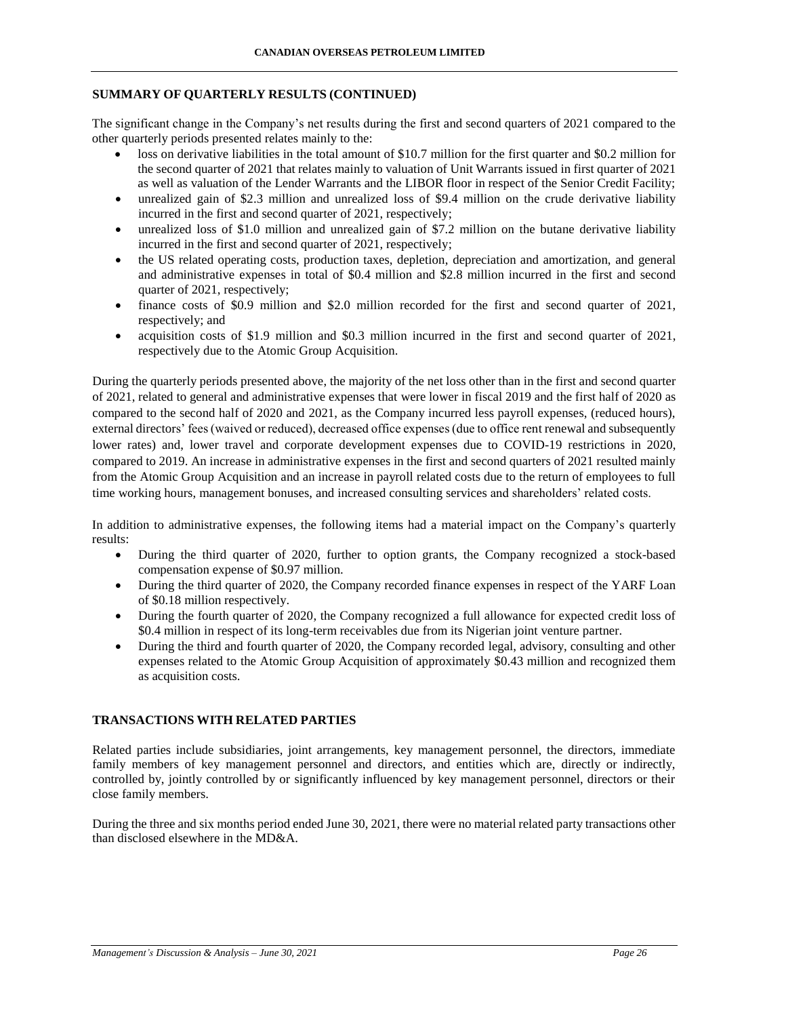### **SUMMARY OF QUARTERLY RESULTS (CONTINUED)**

The significant change in the Company's net results during the first and second quarters of 2021 compared to the other quarterly periods presented relates mainly to the:

- loss on derivative liabilities in the total amount of \$10.7 million for the first quarter and \$0.2 million for the second quarter of 2021 that relates mainly to valuation of Unit Warrants issued in first quarter of 2021 as well as valuation of the Lender Warrants and the LIBOR floor in respect of the Senior Credit Facility;
- unrealized gain of \$2.3 million and unrealized loss of \$9.4 million on the crude derivative liability incurred in the first and second quarter of 2021, respectively;
- unrealized loss of \$1.0 million and unrealized gain of \$7.2 million on the butane derivative liability incurred in the first and second quarter of 2021, respectively;
- the US related operating costs, production taxes, depletion, depreciation and amortization, and general and administrative expenses in total of \$0.4 million and \$2.8 million incurred in the first and second quarter of 2021, respectively;
- finance costs of \$0.9 million and \$2.0 million recorded for the first and second quarter of 2021, respectively; and
- acquisition costs of \$1.9 million and \$0.3 million incurred in the first and second quarter of 2021, respectively due to the Atomic Group Acquisition.

During the quarterly periods presented above, the majority of the net loss other than in the first and second quarter of 2021, related to general and administrative expenses that were lower in fiscal 2019 and the first half of 2020 as compared to the second half of 2020 and 2021, as the Company incurred less payroll expenses, (reduced hours), external directors' fees (waived or reduced), decreased office expenses (due to office rent renewal and subsequently lower rates) and, lower travel and corporate development expenses due to COVID-19 restrictions in 2020, compared to 2019. An increase in administrative expenses in the first and second quarters of 2021 resulted mainly from the Atomic Group Acquisition and an increase in payroll related costs due to the return of employees to full time working hours, management bonuses, and increased consulting services and shareholders' related costs.

In addition to administrative expenses, the following items had a material impact on the Company's quarterly results:

- During the third quarter of 2020, further to option grants, the Company recognized a stock-based compensation expense of \$0.97 million.
- During the third quarter of 2020, the Company recorded finance expenses in respect of the YARF Loan of \$0.18 million respectively.
- During the fourth quarter of 2020, the Company recognized a full allowance for expected credit loss of \$0.4 million in respect of its long-term receivables due from its Nigerian joint venture partner.
- During the third and fourth quarter of 2020, the Company recorded legal, advisory, consulting and other expenses related to the Atomic Group Acquisition of approximately \$0.43 million and recognized them as acquisition costs.

# **TRANSACTIONS WITH RELATED PARTIES**

Related parties include subsidiaries, joint arrangements, key management personnel, the directors, immediate family members of key management personnel and directors, and entities which are, directly or indirectly, controlled by, jointly controlled by or significantly influenced by key management personnel, directors or their close family members.

During the three and six months period ended June 30, 2021, there were no material related party transactions other than disclosed elsewhere in the MD&A.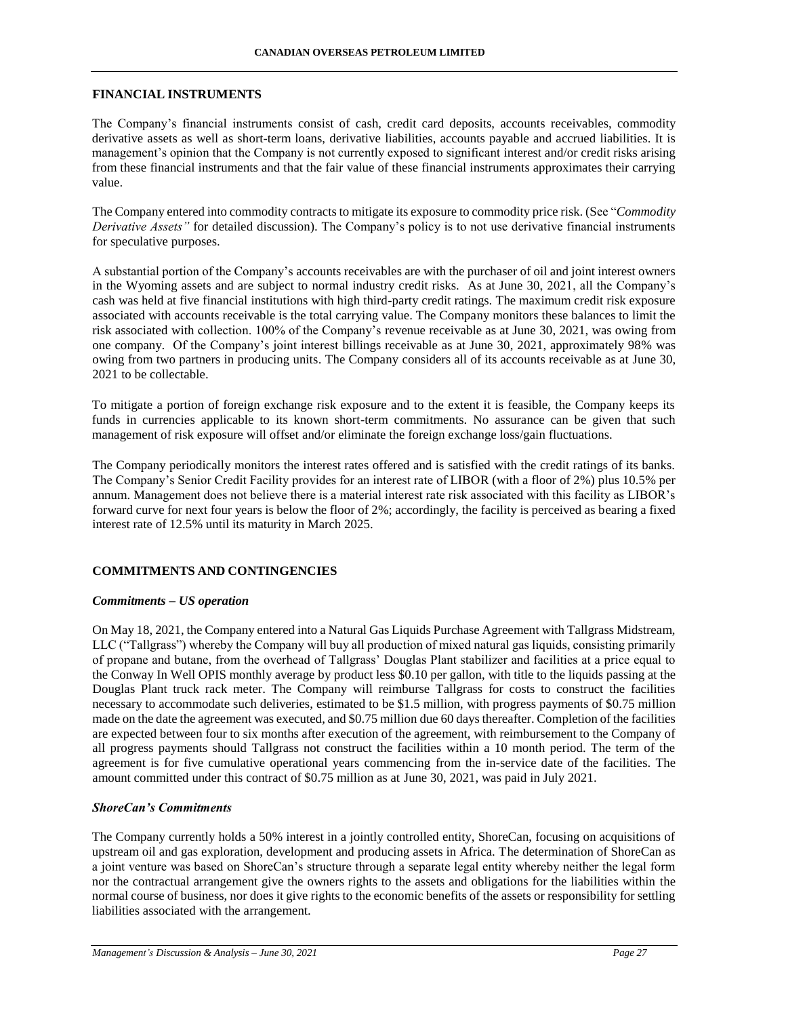### **FINANCIAL INSTRUMENTS**

The Company's financial instruments consist of cash, credit card deposits, accounts receivables, commodity derivative assets as well as short-term loans, derivative liabilities, accounts payable and accrued liabilities. It is management's opinion that the Company is not currently exposed to significant interest and/or credit risks arising from these financial instruments and that the fair value of these financial instruments approximates their carrying value.

The Company entered into commodity contracts to mitigate its exposure to commodity price risk. (See "*Commodity Derivative Assets"* for detailed discussion). The Company's policy is to not use derivative financial instruments for speculative purposes.

A substantial portion of the Company's accounts receivables are with the purchaser of oil and joint interest owners in the Wyoming assets and are subject to normal industry credit risks. As at June 30, 2021, all the Company's cash was held at five financial institutions with high third-party credit ratings. The maximum credit risk exposure associated with accounts receivable is the total carrying value. The Company monitors these balances to limit the risk associated with collection. 100% of the Company's revenue receivable as at June 30, 2021, was owing from one company. Of the Company's joint interest billings receivable as at June 30, 2021, approximately 98% was owing from two partners in producing units. The Company considers all of its accounts receivable as at June 30, 2021 to be collectable.

To mitigate a portion of foreign exchange risk exposure and to the extent it is feasible, the Company keeps its funds in currencies applicable to its known short-term commitments. No assurance can be given that such management of risk exposure will offset and/or eliminate the foreign exchange loss/gain fluctuations.

The Company periodically monitors the interest rates offered and is satisfied with the credit ratings of its banks. The Company's Senior Credit Facility provides for an interest rate of LIBOR (with a floor of 2%) plus 10.5% per annum. Management does not believe there is a material interest rate risk associated with this facility as LIBOR's forward curve for next four years is below the floor of 2%; accordingly, the facility is perceived as bearing a fixed interest rate of 12.5% until its maturity in March 2025.

### **COMMITMENTS AND CONTINGENCIES**

### *Commitments – US operation*

On May 18, 2021, the Company entered into a Natural Gas Liquids Purchase Agreement with Tallgrass Midstream, LLC ("Tallgrass") whereby the Company will buy all production of mixed natural gas liquids, consisting primarily of propane and butane, from the overhead of Tallgrass' Douglas Plant stabilizer and facilities at a price equal to the Conway In Well OPIS monthly average by product less \$0.10 per gallon, with title to the liquids passing at the Douglas Plant truck rack meter. The Company will reimburse Tallgrass for costs to construct the facilities necessary to accommodate such deliveries, estimated to be \$1.5 million, with progress payments of \$0.75 million made on the date the agreement was executed, and \$0.75 million due 60 days thereafter. Completion of the facilities are expected between four to six months after execution of the agreement, with reimbursement to the Company of all progress payments should Tallgrass not construct the facilities within a 10 month period. The term of the agreement is for five cumulative operational years commencing from the in-service date of the facilities. The amount committed under this contract of \$0.75 million as at June 30, 2021, was paid in July 2021.

### *ShoreCan's Commitments*

The Company currently holds a 50% interest in a jointly controlled entity, ShoreCan, focusing on acquisitions of upstream oil and gas exploration, development and producing assets in Africa. The determination of ShoreCan as a joint venture was based on ShoreCan's structure through a separate legal entity whereby neither the legal form nor the contractual arrangement give the owners rights to the assets and obligations for the liabilities within the normal course of business, nor does it give rights to the economic benefits of the assets or responsibility for settling liabilities associated with the arrangement.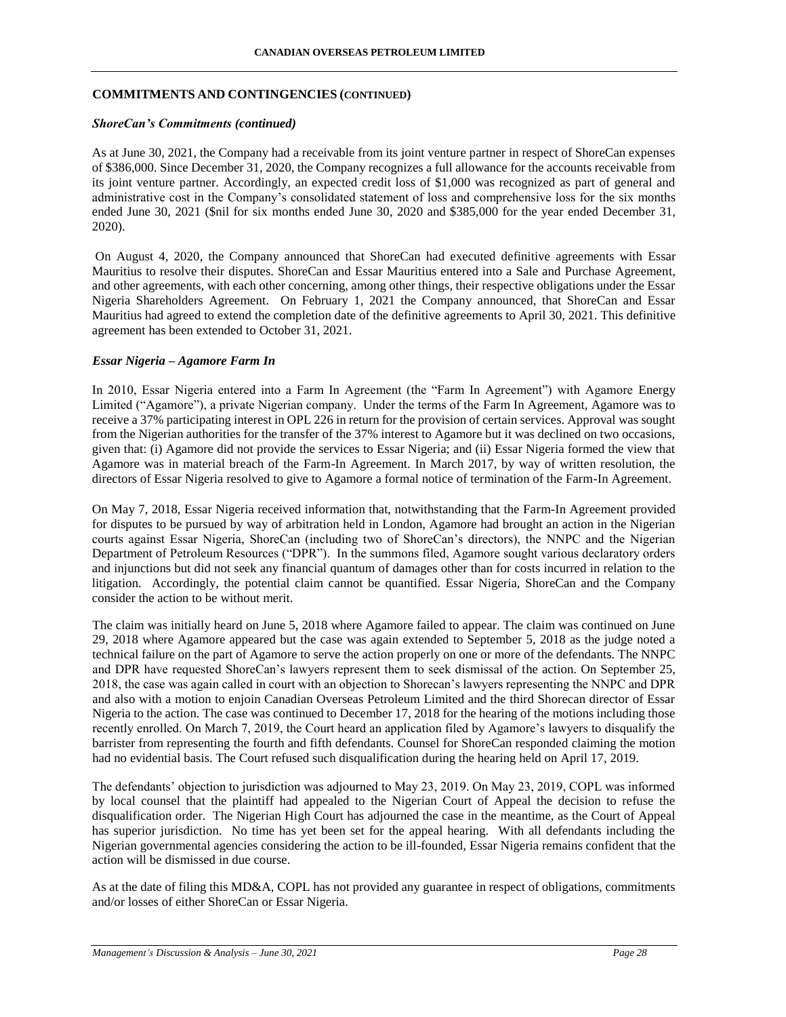### **COMMITMENTS AND CONTINGENCIES (CONTINUED)**

#### *ShoreCan's Commitments (continued)*

As at June 30, 2021, the Company had a receivable from its joint venture partner in respect of ShoreCan expenses of \$386,000. Since December 31, 2020, the Company recognizes a full allowance for the accounts receivable from its joint venture partner. Accordingly, an expected credit loss of \$1,000 was recognized as part of general and administrative cost in the Company's consolidated statement of loss and comprehensive loss for the six months ended June 30, 2021 (\$nil for six months ended June 30, 2020 and \$385,000 for the year ended December 31, 2020).

On August 4, 2020, the Company announced that ShoreCan had executed definitive agreements with Essar Mauritius to resolve their disputes. ShoreCan and Essar Mauritius entered into a Sale and Purchase Agreement, and other agreements, with each other concerning, among other things, their respective obligations under the Essar Nigeria Shareholders Agreement. On February 1, 2021 the Company announced, that ShoreCan and Essar Mauritius had agreed to extend the completion date of the definitive agreements to April 30, 2021. This definitive agreement has been extended to October 31, 2021.

### *Essar Nigeria – Agamore Farm In*

In 2010, Essar Nigeria entered into a Farm In Agreement (the "Farm In Agreement") with Agamore Energy Limited ("Agamore"), a private Nigerian company. Under the terms of the Farm In Agreement, Agamore was to receive a 37% participating interest in OPL 226 in return for the provision of certain services. Approval was sought from the Nigerian authorities for the transfer of the 37% interest to Agamore but it was declined on two occasions, given that: (i) Agamore did not provide the services to Essar Nigeria; and (ii) Essar Nigeria formed the view that Agamore was in material breach of the Farm-In Agreement. In March 2017, by way of written resolution, the directors of Essar Nigeria resolved to give to Agamore a formal notice of termination of the Farm-In Agreement.

On May 7, 2018, Essar Nigeria received information that, notwithstanding that the Farm-In Agreement provided for disputes to be pursued by way of arbitration held in London, Agamore had brought an action in the Nigerian courts against Essar Nigeria, ShoreCan (including two of ShoreCan's directors), the NNPC and the Nigerian Department of Petroleum Resources ("DPR"). In the summons filed, Agamore sought various declaratory orders and injunctions but did not seek any financial quantum of damages other than for costs incurred in relation to the litigation. Accordingly, the potential claim cannot be quantified. Essar Nigeria, ShoreCan and the Company consider the action to be without merit.

The claim was initially heard on June 5, 2018 where Agamore failed to appear. The claim was continued on June 29, 2018 where Agamore appeared but the case was again extended to September 5, 2018 as the judge noted a technical failure on the part of Agamore to serve the action properly on one or more of the defendants. The NNPC and DPR have requested ShoreCan's lawyers represent them to seek dismissal of the action. On September 25, 2018, the case was again called in court with an objection to Shorecan's lawyers representing the NNPC and DPR and also with a motion to enjoin Canadian Overseas Petroleum Limited and the third Shorecan director of Essar Nigeria to the action. The case was continued to December 17, 2018 for the hearing of the motions including those recently enrolled. On March 7, 2019, the Court heard an application filed by Agamore's lawyers to disqualify the barrister from representing the fourth and fifth defendants. Counsel for ShoreCan responded claiming the motion had no evidential basis. The Court refused such disqualification during the hearing held on April 17, 2019.

The defendants' objection to jurisdiction was adjourned to May 23, 2019. On May 23, 2019, COPL was informed by local counsel that the plaintiff had appealed to the Nigerian Court of Appeal the decision to refuse the disqualification order. The Nigerian High Court has adjourned the case in the meantime, as the Court of Appeal has superior jurisdiction. No time has yet been set for the appeal hearing. With all defendants including the Nigerian governmental agencies considering the action to be ill-founded, Essar Nigeria remains confident that the action will be dismissed in due course.

As at the date of filing this MD&A, COPL has not provided any guarantee in respect of obligations, commitments and/or losses of either ShoreCan or Essar Nigeria.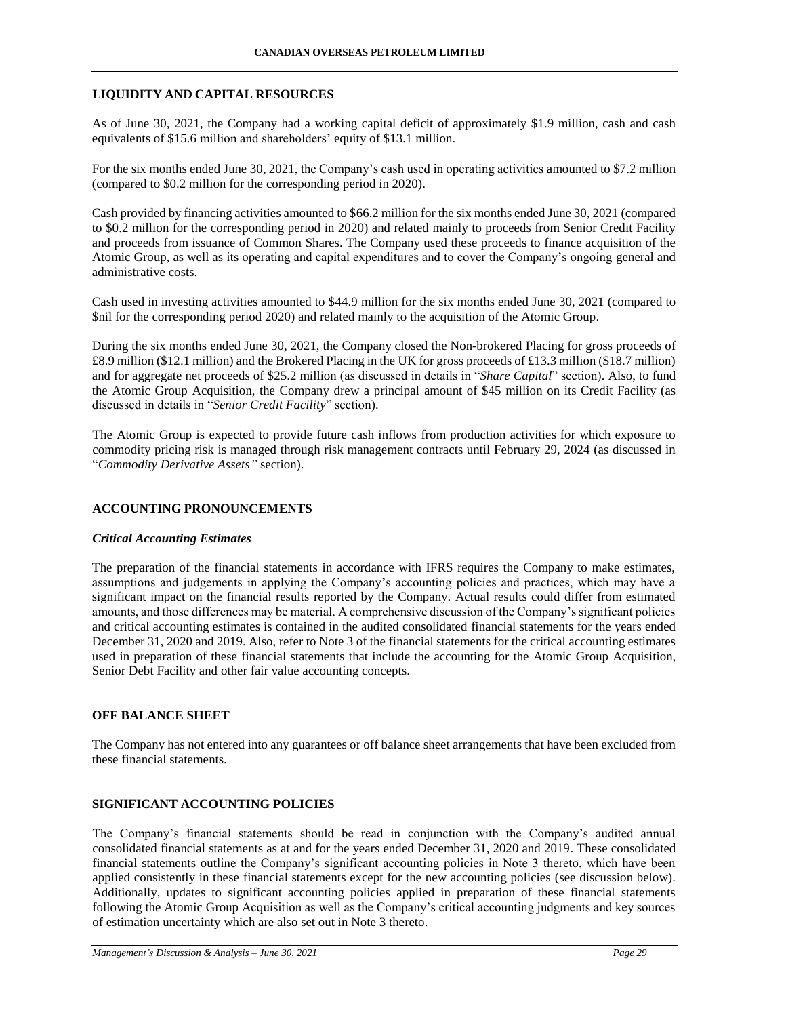### **LIQUIDITY AND CAPITAL RESOURCES**

As of June 30, 2021, the Company had a working capital deficit of approximately \$1.9 million, cash and cash equivalents of \$15.6 million and shareholders' equity of \$13.1 million.

For the six months ended June 30, 2021, the Company's cash used in operating activities amounted to \$7.2 million (compared to \$0.2 million for the corresponding period in 2020).

Cash provided by financing activities amounted to \$66.2 million for the six months ended June 30, 2021 (compared to \$0.2 million for the corresponding period in 2020) and related mainly to proceeds from Senior Credit Facility and proceeds from issuance of Common Shares. The Company used these proceeds to finance acquisition of the Atomic Group, as well as its operating and capital expenditures and to cover the Company's ongoing general and administrative costs.

Cash used in investing activities amounted to \$44.9 million for the six months ended June 30, 2021 (compared to \$nil for the corresponding period 2020) and related mainly to the acquisition of the Atomic Group.

During the six months ended June 30, 2021, the Company closed the Non-brokered Placing for gross proceeds of £8.9 million (\$12.1 million) and the Brokered Placing in the UK for gross proceeds of £13.3 million (\$18.7 million) and for aggregate net proceeds of \$25.2 million (as discussed in details in "*Share Capital*" section). Also, to fund the Atomic Group Acquisition, the Company drew a principal amount of \$45 million on its Credit Facility (as discussed in details in "*Senior Credit Facility*" section).

The Atomic Group is expected to provide future cash inflows from production activities for which exposure to commodity pricing risk is managed through risk management contracts until February 29, 2024 (as discussed in "*Commodity Derivative Assets"* section).

### **ACCOUNTING PRONOUNCEMENTS**

### *Critical Accounting Estimates*

The preparation of the financial statements in accordance with IFRS requires the Company to make estimates, assumptions and judgements in applying the Company's accounting policies and practices, which may have a significant impact on the financial results reported by the Company. Actual results could differ from estimated amounts, and those differences may be material. A comprehensive discussion of the Company's significant policies and critical accounting estimates is contained in the audited consolidated financial statements for the years ended December 31, 2020 and 2019. Also, refer to Note 3 of the financial statements for the critical accounting estimates used in preparation of these financial statements that include the accounting for the Atomic Group Acquisition, Senior Debt Facility and other fair value accounting concepts.

### **OFF BALANCE SHEET**

The Company has not entered into any guarantees or off balance sheet arrangements that have been excluded from these financial statements.

### **SIGNIFICANT ACCOUNTING POLICIES**

The Company's financial statements should be read in conjunction with the Company's audited annual consolidated financial statements as at and for the years ended December 31, 2020 and 2019. These consolidated financial statements outline the Company's significant accounting policies in Note 3 thereto, which have been applied consistently in these financial statements except for the new accounting policies (see discussion below). Additionally, updates to significant accounting policies applied in preparation of these financial statements following the Atomic Group Acquisition as well as the Company's critical accounting judgments and key sources of estimation uncertainty which are also set out in Note 3 thereto.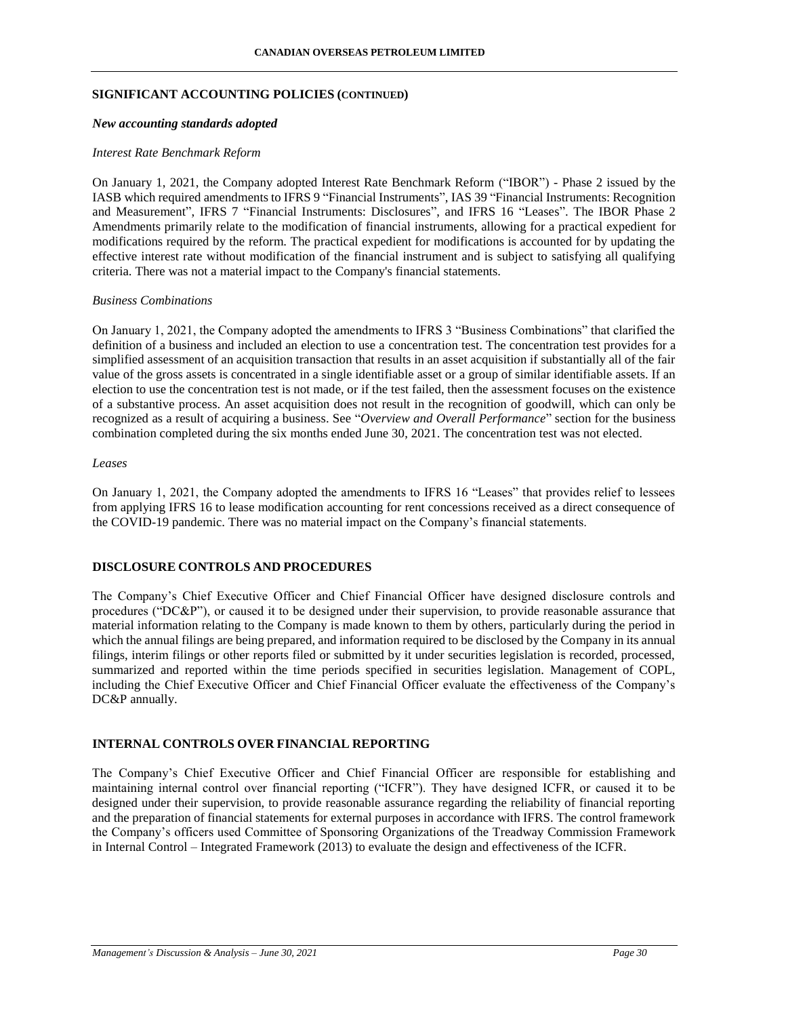#### **SIGNIFICANT ACCOUNTING POLICIES (CONTINUED)**

#### *New accounting standards adopted*

#### *Interest Rate Benchmark Reform*

On January 1, 2021, the Company adopted Interest Rate Benchmark Reform ("IBOR") - Phase 2 issued by the IASB which required amendments to IFRS 9 "Financial Instruments", IAS 39 "Financial Instruments: Recognition and Measurement", IFRS 7 "Financial Instruments: Disclosures", and IFRS 16 "Leases". The IBOR Phase 2 Amendments primarily relate to the modification of financial instruments, allowing for a practical expedient for modifications required by the reform. The practical expedient for modifications is accounted for by updating the effective interest rate without modification of the financial instrument and is subject to satisfying all qualifying criteria. There was not a material impact to the Company's financial statements.

#### *Business Combinations*

On January 1, 2021, the Company adopted the amendments to IFRS 3 "Business Combinations" that clarified the definition of a business and included an election to use a concentration test. The concentration test provides for a simplified assessment of an acquisition transaction that results in an asset acquisition if substantially all of the fair value of the gross assets is concentrated in a single identifiable asset or a group of similar identifiable assets. If an election to use the concentration test is not made, or if the test failed, then the assessment focuses on the existence of a substantive process. An asset acquisition does not result in the recognition of goodwill, which can only be recognized as a result of acquiring a business. See "*Overview and Overall Performance*" section for the business combination completed during the six months ended June 30, 2021. The concentration test was not elected.

#### *Leases*

On January 1, 2021, the Company adopted the amendments to IFRS 16 "Leases" that provides relief to lessees from applying IFRS 16 to lease modification accounting for rent concessions received as a direct consequence of the COVID-19 pandemic. There was no material impact on the Company's financial statements.

### **DISCLOSURE CONTROLS AND PROCEDURES**

The Company's Chief Executive Officer and Chief Financial Officer have designed disclosure controls and procedures ("DC&P"), or caused it to be designed under their supervision, to provide reasonable assurance that material information relating to the Company is made known to them by others, particularly during the period in which the annual filings are being prepared, and information required to be disclosed by the Company in its annual filings, interim filings or other reports filed or submitted by it under securities legislation is recorded, processed, summarized and reported within the time periods specified in securities legislation. Management of COPL, including the Chief Executive Officer and Chief Financial Officer evaluate the effectiveness of the Company's DC&P annually.

### **INTERNAL CONTROLS OVER FINANCIAL REPORTING**

The Company's Chief Executive Officer and Chief Financial Officer are responsible for establishing and maintaining internal control over financial reporting ("ICFR"). They have designed ICFR, or caused it to be designed under their supervision, to provide reasonable assurance regarding the reliability of financial reporting and the preparation of financial statements for external purposes in accordance with IFRS. The control framework the Company's officers used Committee of Sponsoring Organizations of the Treadway Commission Framework in Internal Control – Integrated Framework (2013) to evaluate the design and effectiveness of the ICFR.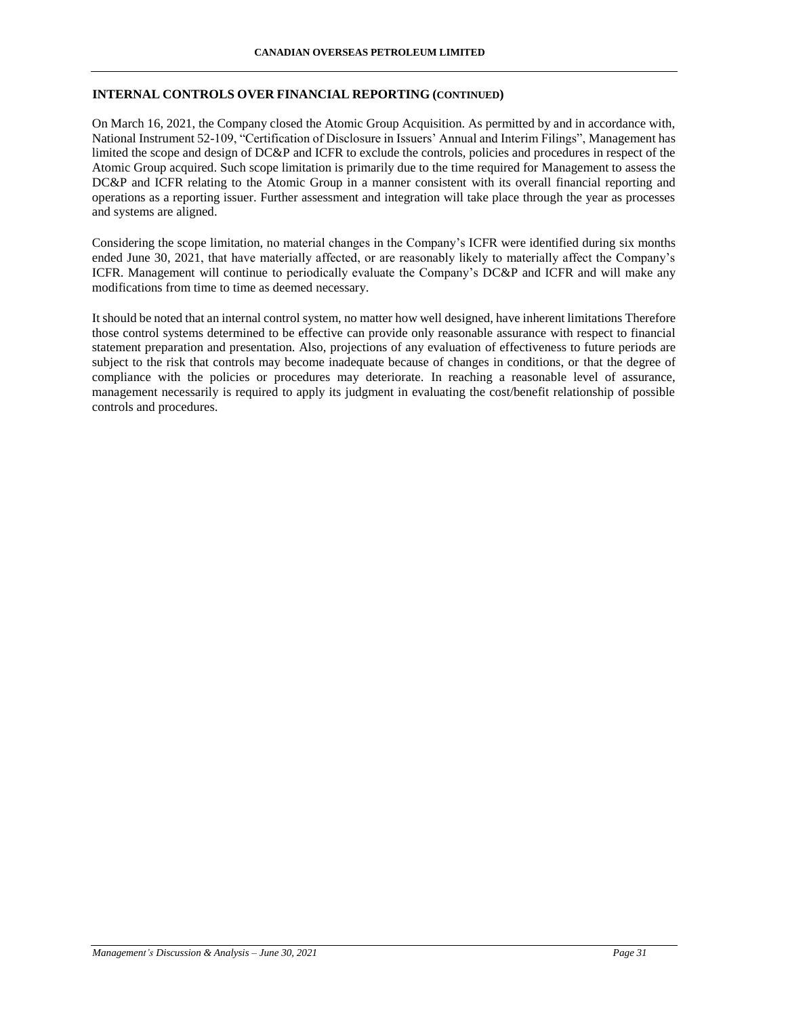### **INTERNAL CONTROLS OVER FINANCIAL REPORTING (CONTINUED)**

On March 16, 2021, the Company closed the Atomic Group Acquisition. As permitted by and in accordance with, National Instrument 52-109, "Certification of Disclosure in Issuers' Annual and Interim Filings", Management has limited the scope and design of DC&P and ICFR to exclude the controls, policies and procedures in respect of the Atomic Group acquired. Such scope limitation is primarily due to the time required for Management to assess the DC&P and ICFR relating to the Atomic Group in a manner consistent with its overall financial reporting and operations as a reporting issuer. Further assessment and integration will take place through the year as processes and systems are aligned.

Considering the scope limitation, no material changes in the Company's ICFR were identified during six months ended June 30, 2021, that have materially affected, or are reasonably likely to materially affect the Company's ICFR. Management will continue to periodically evaluate the Company's DC&P and ICFR and will make any modifications from time to time as deemed necessary.

It should be noted that an internal control system, no matter how well designed, have inherent limitations Therefore those control systems determined to be effective can provide only reasonable assurance with respect to financial statement preparation and presentation. Also, projections of any evaluation of effectiveness to future periods are subject to the risk that controls may become inadequate because of changes in conditions, or that the degree of compliance with the policies or procedures may deteriorate. In reaching a reasonable level of assurance, management necessarily is required to apply its judgment in evaluating the cost/benefit relationship of possible controls and procedures.